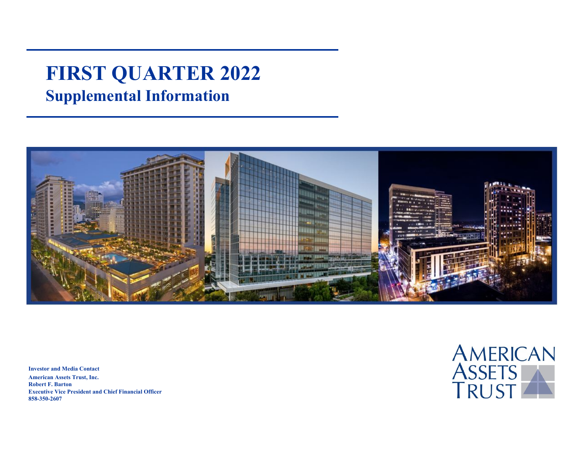## **FIRST QUARTER 2022 Supplemental Information**



**Investor and Media Contact American Assets Trust, Inc. Robert F. Barton Executive Vice President and Chief Financial Officer 858-350-2607**

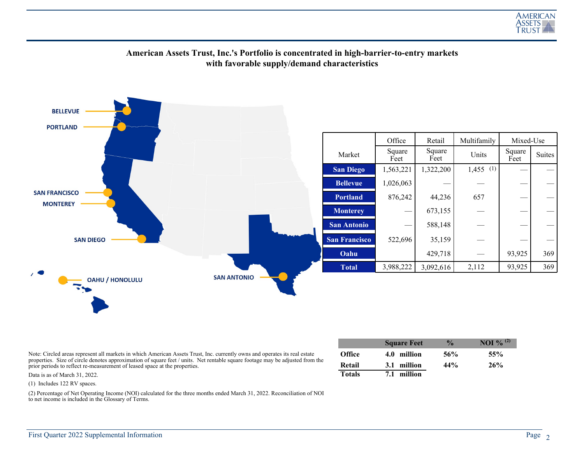

#### **American Assets Trust, Inc.'s Portfolio is concentrated in high-barrier-to-entry markets with favorable supply/demand characteristics**

| <b>BELLEVUE</b>          |                        |                    |                      |                          |                |                   |                |        |
|--------------------------|------------------------|--------------------|----------------------|--------------------------|----------------|-------------------|----------------|--------|
| <b>PORTLAND</b>          |                        |                    |                      |                          |                |                   |                |        |
|                          |                        |                    |                      | Office                   | Retail         | Multifamily       | Mixed-Use      |        |
|                          |                        |                    | Market               | Square<br>Feet           | Square<br>Feet | Units             | Square<br>Feet | Suites |
|                          |                        |                    | <b>San Diego</b>     | 1,563,221                | 1,322,200      | $1,455$ (1)       |                |        |
|                          |                        |                    | <b>Bellevue</b>      | 1,026,063                |                | $\hspace{0.05cm}$ |                |        |
| <b>SAN FRANCISCO</b>     |                        |                    | <b>Portland</b>      | 876,242                  | 44,236         | 657               |                |        |
| <b>MONTEREY</b>          |                        |                    | <b>Monterey</b>      |                          | 673,155        | $\hspace{0.05cm}$ |                |        |
|                          |                        |                    | <b>San Antonio</b>   | $\overline{\phantom{a}}$ | 588,148        |                   |                |        |
|                          | <b>SAN DIEGO</b>       |                    | <b>San Francisco</b> | 522,696                  | 35,159         |                   |                |        |
|                          |                        |                    | Oahu                 |                          | 429,718        | $\hspace{0.05cm}$ | 93,925         | 369    |
| $\overline{\phantom{a}}$ |                        |                    | <b>Total</b>         | 3,988,222                | 3,092,616      | 2,112             | 93,925         | 369    |
|                          | <b>OAHU / HONOLULU</b> | <b>SAN ANTONIO</b> |                      |                          |                |                   |                |        |

Note: Circled areas represent all markets in which American Assets Trust, Inc. currently owns and operates its real estate properties. Size of circle denotes approximation of square feet / units. Net rentable square footage may be adjusted from the prior periods to reflect re-measurement of leased space at the properties.

|               | <b>Square Feet</b> | $\frac{0}{0}$ | <b>NOI</b> % $^{(2)}$ |
|---------------|--------------------|---------------|-----------------------|
| <b>Office</b> | 4.0 million        | 56%           | 55%                   |
| Retail        | 3.1 million        | 44%           | 26%                   |
| <b>Totals</b> | 7.1 million        |               |                       |

Data is as of March 31, 2022.

(1) Includes 122 RV spaces.

(2) Percentage of Net Operating Income (NOI) calculated for the three months ended March 31, 2022. Reconciliation of NOI to net income is included in the Glossary of Terms.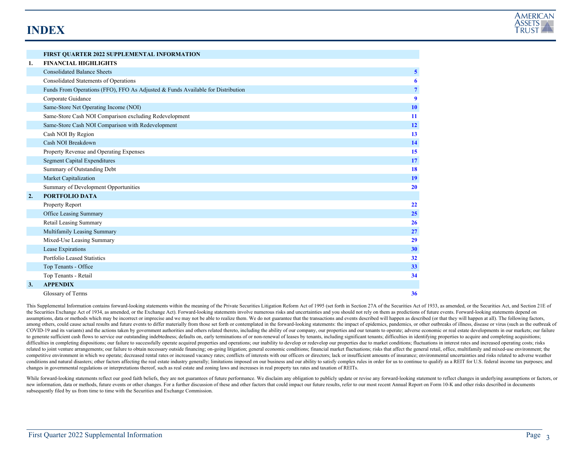### **INDEX**



|    | <b>FIRST QUARTER 2022 SUPPLEMENTAL INFORMATION</b>                              |                |
|----|---------------------------------------------------------------------------------|----------------|
| 1. | <b>FINANCIAL HIGHLIGHTS</b>                                                     |                |
|    | <b>Consolidated Balance Sheets</b>                                              | 5 <sup>1</sup> |
|    | Consolidated Statements of Operations                                           | 6              |
|    | Funds From Operations (FFO), FFO As Adjusted & Funds Available for Distribution | $\overline{7}$ |
|    | Corporate Guidance                                                              | 9              |
|    | Same-Store Net Operating Income (NOI)                                           | 10             |
|    | Same-Store Cash NOI Comparison excluding Redevelopment                          | 11             |
|    | Same-Store Cash NOI Comparison with Redevelopment                               | 12             |
|    | Cash NOI By Region                                                              | 13             |
|    | Cash NOI Breakdown                                                              | 14             |
|    | Property Revenue and Operating Expenses                                         | 15             |
|    | <b>Segment Capital Expenditures</b>                                             | 17             |
|    | Summary of Outstanding Debt                                                     | 18             |
|    | Market Capitalization                                                           | 19             |
|    | Summary of Development Opportunities                                            | 20             |
| 2. | <b>PORTFOLIO DATA</b>                                                           |                |
|    | Property Report                                                                 | 22             |
|    | Office Leasing Summary                                                          | 25             |
|    | Retail Leasing Summary                                                          | 26             |
|    | Multifamily Leasing Summary                                                     | 27             |
|    | Mixed-Use Leasing Summary                                                       | 29             |
|    | Lease Expirations                                                               | 30             |
|    | Portfolio Leased Statistics                                                     | 32             |
|    | Top Tenants - Office                                                            | 33             |
|    | Top Tenants - Retail                                                            | 34             |
| 3. | <b>APPENDIX</b>                                                                 |                |
|    | Glossary of Terms                                                               | 36             |

This Supplemental Information contains forward-looking statements within the meaning of the Private Securities Litigation Reform Act of 1995 (set forth in Section 27A of the Securities Act of 1933, as amended, or the Secur the Securities Exchange Act of 1934, as amended, or the Exchange Act). Forward-looking statements involve numerous risks and uncertainties and you should not rely on them as predictions of future events. Forward-looking st assumptions, data or methods which may be incorrect or imprecise and we may not be able to realize them. We do not guarantee that the transactions and events described will happen as described (or that they will happen at among others, could cause actual results and future events to differ materially from those set forth or contemplated in the forward-looking statements: the impact of epidemics, pandemics, or other outbreaks of illness, dis COVID-19 and its variants) and the actions taken by government authorities and others related thereto, including the ability of our company, our properties and our tenants to operate; adverse economic or real estate develo to generate sufficient cash flows to service our outstanding indebtedness; defaults on, early terminations of or non-renewal of leases by tenants, including significant tenants; difficulties in identifying properties to ac difficulties in completing dispositions; our failure to successfully operate acquired properties and operations; our inability to develop or redevelop our properties due to market conditions; fluctuations in interest rates related to joint venture arrangements; our failure to obtain necessary outside financing; on-going litigation; general economic conditions; financial market fluctuations; risks that affect the general retail, office, multi competitive environment in which we operate; decreased rental rates or increased vacancy rates; conflicts of interests with our officers or directors; lack or insufficient amounts of insurance; environmental uncertainties conditions and natural disasters; other factors affecting the real estate industry generally; limitations imposed on our business and our ability to satisfy complex rules in order for us to continue to qualify as a REIT fo changes in governmental regulations or interpretations thereof, such as real estate and zoning laws and increases in real property tax rates and taxation of REITs.

While forward-looking statements reflect our good faith beliefs, they are not guarantees of future performance. We disclaim any obligation to publicly update or revise any forward-looking statement to reflect changes in un new information, data or methods, future events or other changes. For a further discussion of these and other factors that could impact our future results, refer to our most recent Annual Report on Form 10-K and other risk subsequently filed by us from time to time with the Securities and Exchange Commission.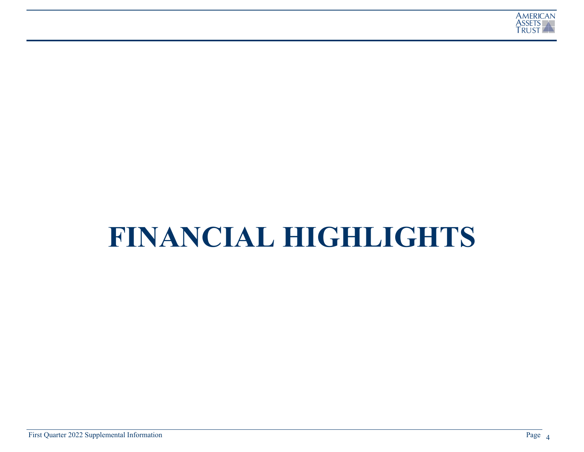

## **FINANCIAL HIGHLIGHTS**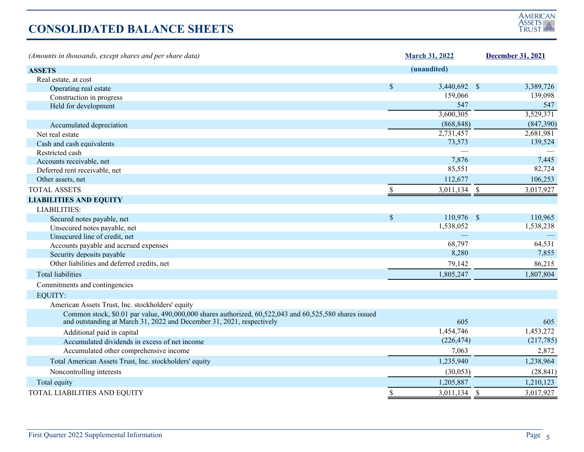### <span id="page-4-0"></span>**CONSOLIDATED BALANCE SHEETS**



| (unaudited)<br><b>ASSETS</b><br>Real estate, at cost<br>$\mathsf{\$}$<br>3,389,726<br>3,440,692 \$<br>Operating real estate<br>159,066<br>139,098<br>Construction in progress<br>547<br>547<br>Held for development<br>3,529,371<br>3,600,305<br>(868, 848)<br>(847,390)<br>Accumulated depreciation<br>2,731,457<br>2,681,981<br>Net real estate<br>73,573<br>139,524<br>Cash and cash equivalents<br>Restricted cash<br>7,876<br>7,445<br>Accounts receivable, net<br>85,551<br>82,724<br>Deferred rent receivable, net<br>Other assets, net<br>112,677<br>106,253<br><b>TOTAL ASSETS</b><br>$\mathbb S$<br>3,011,134 \$<br>3,017,927<br><b>LIABILITIES AND EQUITY</b><br><b>LIABILITIES:</b><br>$\boldsymbol{\mathsf{S}}$<br>$110,976$ \$<br>110,965<br>Secured notes payable, net<br>1,538,052<br>1,538,238<br>Unsecured notes payable, net<br>Unsecured line of credit, net<br>68,797<br>64,531<br>Accounts payable and accrued expenses<br>8,280<br>7,855<br>Security deposits payable<br>Other liabilities and deferred credits, net<br>79,142<br>86,215<br><b>Total liabilities</b><br>1,807,804<br>1,805,247<br>Commitments and contingencies<br>EQUITY:<br>American Assets Trust, Inc. stockholders' equity<br>Common stock, \$0.01 par value, 490,000,000 shares authorized, 60,522,043 and 60,525,580 shares issued<br>and outstanding at March 31, 2022 and December 31, 2021, respectively<br>605<br>605<br>1,454,746<br>1,453,272<br>Additional paid in capital | (Amounts in thousands, except shares and per share data) | <b>March 31, 2022</b> | <b>December 31, 2021</b> |
|--------------------------------------------------------------------------------------------------------------------------------------------------------------------------------------------------------------------------------------------------------------------------------------------------------------------------------------------------------------------------------------------------------------------------------------------------------------------------------------------------------------------------------------------------------------------------------------------------------------------------------------------------------------------------------------------------------------------------------------------------------------------------------------------------------------------------------------------------------------------------------------------------------------------------------------------------------------------------------------------------------------------------------------------------------------------------------------------------------------------------------------------------------------------------------------------------------------------------------------------------------------------------------------------------------------------------------------------------------------------------------------------------------------------------------------------------------------------------------|----------------------------------------------------------|-----------------------|--------------------------|
|                                                                                                                                                                                                                                                                                                                                                                                                                                                                                                                                                                                                                                                                                                                                                                                                                                                                                                                                                                                                                                                                                                                                                                                                                                                                                                                                                                                                                                                                                |                                                          |                       |                          |
|                                                                                                                                                                                                                                                                                                                                                                                                                                                                                                                                                                                                                                                                                                                                                                                                                                                                                                                                                                                                                                                                                                                                                                                                                                                                                                                                                                                                                                                                                |                                                          |                       |                          |
|                                                                                                                                                                                                                                                                                                                                                                                                                                                                                                                                                                                                                                                                                                                                                                                                                                                                                                                                                                                                                                                                                                                                                                                                                                                                                                                                                                                                                                                                                |                                                          |                       |                          |
|                                                                                                                                                                                                                                                                                                                                                                                                                                                                                                                                                                                                                                                                                                                                                                                                                                                                                                                                                                                                                                                                                                                                                                                                                                                                                                                                                                                                                                                                                |                                                          |                       |                          |
|                                                                                                                                                                                                                                                                                                                                                                                                                                                                                                                                                                                                                                                                                                                                                                                                                                                                                                                                                                                                                                                                                                                                                                                                                                                                                                                                                                                                                                                                                |                                                          |                       |                          |
|                                                                                                                                                                                                                                                                                                                                                                                                                                                                                                                                                                                                                                                                                                                                                                                                                                                                                                                                                                                                                                                                                                                                                                                                                                                                                                                                                                                                                                                                                |                                                          |                       |                          |
|                                                                                                                                                                                                                                                                                                                                                                                                                                                                                                                                                                                                                                                                                                                                                                                                                                                                                                                                                                                                                                                                                                                                                                                                                                                                                                                                                                                                                                                                                |                                                          |                       |                          |
|                                                                                                                                                                                                                                                                                                                                                                                                                                                                                                                                                                                                                                                                                                                                                                                                                                                                                                                                                                                                                                                                                                                                                                                                                                                                                                                                                                                                                                                                                |                                                          |                       |                          |
|                                                                                                                                                                                                                                                                                                                                                                                                                                                                                                                                                                                                                                                                                                                                                                                                                                                                                                                                                                                                                                                                                                                                                                                                                                                                                                                                                                                                                                                                                |                                                          |                       |                          |
|                                                                                                                                                                                                                                                                                                                                                                                                                                                                                                                                                                                                                                                                                                                                                                                                                                                                                                                                                                                                                                                                                                                                                                                                                                                                                                                                                                                                                                                                                |                                                          |                       |                          |
|                                                                                                                                                                                                                                                                                                                                                                                                                                                                                                                                                                                                                                                                                                                                                                                                                                                                                                                                                                                                                                                                                                                                                                                                                                                                                                                                                                                                                                                                                |                                                          |                       |                          |
|                                                                                                                                                                                                                                                                                                                                                                                                                                                                                                                                                                                                                                                                                                                                                                                                                                                                                                                                                                                                                                                                                                                                                                                                                                                                                                                                                                                                                                                                                |                                                          |                       |                          |
|                                                                                                                                                                                                                                                                                                                                                                                                                                                                                                                                                                                                                                                                                                                                                                                                                                                                                                                                                                                                                                                                                                                                                                                                                                                                                                                                                                                                                                                                                |                                                          |                       |                          |
|                                                                                                                                                                                                                                                                                                                                                                                                                                                                                                                                                                                                                                                                                                                                                                                                                                                                                                                                                                                                                                                                                                                                                                                                                                                                                                                                                                                                                                                                                |                                                          |                       |                          |
|                                                                                                                                                                                                                                                                                                                                                                                                                                                                                                                                                                                                                                                                                                                                                                                                                                                                                                                                                                                                                                                                                                                                                                                                                                                                                                                                                                                                                                                                                |                                                          |                       |                          |
|                                                                                                                                                                                                                                                                                                                                                                                                                                                                                                                                                                                                                                                                                                                                                                                                                                                                                                                                                                                                                                                                                                                                                                                                                                                                                                                                                                                                                                                                                |                                                          |                       |                          |
|                                                                                                                                                                                                                                                                                                                                                                                                                                                                                                                                                                                                                                                                                                                                                                                                                                                                                                                                                                                                                                                                                                                                                                                                                                                                                                                                                                                                                                                                                |                                                          |                       |                          |
|                                                                                                                                                                                                                                                                                                                                                                                                                                                                                                                                                                                                                                                                                                                                                                                                                                                                                                                                                                                                                                                                                                                                                                                                                                                                                                                                                                                                                                                                                |                                                          |                       |                          |
|                                                                                                                                                                                                                                                                                                                                                                                                                                                                                                                                                                                                                                                                                                                                                                                                                                                                                                                                                                                                                                                                                                                                                                                                                                                                                                                                                                                                                                                                                |                                                          |                       |                          |
|                                                                                                                                                                                                                                                                                                                                                                                                                                                                                                                                                                                                                                                                                                                                                                                                                                                                                                                                                                                                                                                                                                                                                                                                                                                                                                                                                                                                                                                                                |                                                          |                       |                          |
|                                                                                                                                                                                                                                                                                                                                                                                                                                                                                                                                                                                                                                                                                                                                                                                                                                                                                                                                                                                                                                                                                                                                                                                                                                                                                                                                                                                                                                                                                |                                                          |                       |                          |
|                                                                                                                                                                                                                                                                                                                                                                                                                                                                                                                                                                                                                                                                                                                                                                                                                                                                                                                                                                                                                                                                                                                                                                                                                                                                                                                                                                                                                                                                                |                                                          |                       |                          |
|                                                                                                                                                                                                                                                                                                                                                                                                                                                                                                                                                                                                                                                                                                                                                                                                                                                                                                                                                                                                                                                                                                                                                                                                                                                                                                                                                                                                                                                                                |                                                          |                       |                          |
|                                                                                                                                                                                                                                                                                                                                                                                                                                                                                                                                                                                                                                                                                                                                                                                                                                                                                                                                                                                                                                                                                                                                                                                                                                                                                                                                                                                                                                                                                |                                                          |                       |                          |
|                                                                                                                                                                                                                                                                                                                                                                                                                                                                                                                                                                                                                                                                                                                                                                                                                                                                                                                                                                                                                                                                                                                                                                                                                                                                                                                                                                                                                                                                                |                                                          |                       |                          |
|                                                                                                                                                                                                                                                                                                                                                                                                                                                                                                                                                                                                                                                                                                                                                                                                                                                                                                                                                                                                                                                                                                                                                                                                                                                                                                                                                                                                                                                                                |                                                          |                       |                          |
|                                                                                                                                                                                                                                                                                                                                                                                                                                                                                                                                                                                                                                                                                                                                                                                                                                                                                                                                                                                                                                                                                                                                                                                                                                                                                                                                                                                                                                                                                |                                                          |                       |                          |
|                                                                                                                                                                                                                                                                                                                                                                                                                                                                                                                                                                                                                                                                                                                                                                                                                                                                                                                                                                                                                                                                                                                                                                                                                                                                                                                                                                                                                                                                                |                                                          |                       |                          |
| (226, 474)<br>(217,785)<br>Accumulated dividends in excess of net income                                                                                                                                                                                                                                                                                                                                                                                                                                                                                                                                                                                                                                                                                                                                                                                                                                                                                                                                                                                                                                                                                                                                                                                                                                                                                                                                                                                                       |                                                          |                       |                          |
| Accumulated other comprehensive income<br>7,063<br>2,872                                                                                                                                                                                                                                                                                                                                                                                                                                                                                                                                                                                                                                                                                                                                                                                                                                                                                                                                                                                                                                                                                                                                                                                                                                                                                                                                                                                                                       |                                                          |                       |                          |
| Total American Assets Trust, Inc. stockholders' equity<br>1,235,940<br>1,238,964                                                                                                                                                                                                                                                                                                                                                                                                                                                                                                                                                                                                                                                                                                                                                                                                                                                                                                                                                                                                                                                                                                                                                                                                                                                                                                                                                                                               |                                                          |                       |                          |
| Noncontrolling interests<br>(30,053)<br>(28, 841)                                                                                                                                                                                                                                                                                                                                                                                                                                                                                                                                                                                                                                                                                                                                                                                                                                                                                                                                                                                                                                                                                                                                                                                                                                                                                                                                                                                                                              |                                                          |                       |                          |
| 1,205,887<br>1,210,123<br>Total equity                                                                                                                                                                                                                                                                                                                                                                                                                                                                                                                                                                                                                                                                                                                                                                                                                                                                                                                                                                                                                                                                                                                                                                                                                                                                                                                                                                                                                                         |                                                          |                       |                          |
| \$<br>$3,011,134$ \$<br>3,017,927<br>TOTAL LIABILITIES AND EQUITY                                                                                                                                                                                                                                                                                                                                                                                                                                                                                                                                                                                                                                                                                                                                                                                                                                                                                                                                                                                                                                                                                                                                                                                                                                                                                                                                                                                                              |                                                          |                       |                          |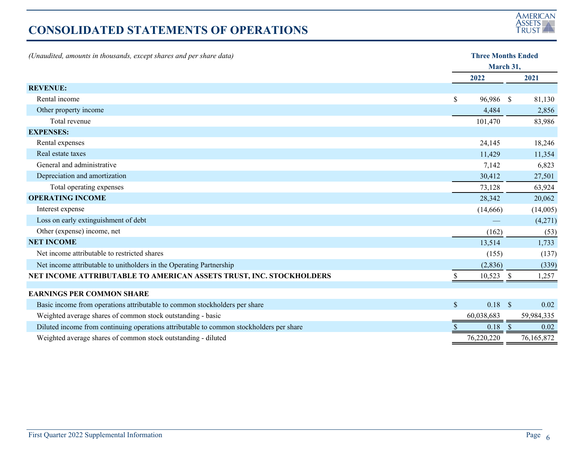### <span id="page-5-0"></span>**CONSOLIDATED STATEMENTS OF OPERATIONS**



| (Unaudited, amounts in thousands, except shares and per share data)                     |               | <b>Three Months Ended</b> |  |            |  |  |
|-----------------------------------------------------------------------------------------|---------------|---------------------------|--|------------|--|--|
|                                                                                         |               | March 31,                 |  |            |  |  |
|                                                                                         |               | 2022                      |  | 2021       |  |  |
| <b>REVENUE:</b>                                                                         |               |                           |  |            |  |  |
| Rental income                                                                           | \$            | 96,986 \$                 |  | 81,130     |  |  |
| Other property income                                                                   |               | 4,484                     |  | 2,856      |  |  |
| Total revenue                                                                           |               | 101,470                   |  | 83,986     |  |  |
| <b>EXPENSES:</b>                                                                        |               |                           |  |            |  |  |
| Rental expenses                                                                         |               | 24,145                    |  | 18,246     |  |  |
| Real estate taxes                                                                       |               | 11,429                    |  | 11,354     |  |  |
| General and administrative                                                              |               | 7,142                     |  | 6,823      |  |  |
| Depreciation and amortization                                                           |               | 30,412                    |  | 27,501     |  |  |
| Total operating expenses                                                                |               | 73,128                    |  | 63,924     |  |  |
| <b>OPERATING INCOME</b>                                                                 |               | 28,342                    |  | 20,062     |  |  |
| Interest expense                                                                        |               | (14,666)                  |  | (14,005)   |  |  |
| Loss on early extinguishment of debt                                                    |               |                           |  | (4,271)    |  |  |
| Other (expense) income, net                                                             |               | (162)                     |  | (53)       |  |  |
| <b>NET INCOME</b>                                                                       |               | 13,514                    |  | 1,733      |  |  |
| Net income attributable to restricted shares                                            |               | (155)                     |  | (137)      |  |  |
| Net income attributable to unitholders in the Operating Partnership                     |               | (2,836)                   |  | (339)      |  |  |
| NET INCOME ATTRIBUTABLE TO AMERICAN ASSETS TRUST, INC. STOCKHOLDERS                     |               | $10,523$ \$               |  | 1,257      |  |  |
| <b>EARNINGS PER COMMON SHARE</b>                                                        |               |                           |  |            |  |  |
| Basic income from operations attributable to common stockholders per share              | $\mathcal{S}$ | $0.18$ \$                 |  | 0.02       |  |  |
| Weighted average shares of common stock outstanding - basic                             |               | 60,038,683                |  | 59,984,335 |  |  |
| Diluted income from continuing operations attributable to common stockholders per share |               | $0.18$ \$                 |  | 0.02       |  |  |
| Weighted average shares of common stock outstanding - diluted                           |               | 76,220,220                |  | 76,165,872 |  |  |
|                                                                                         |               |                           |  |            |  |  |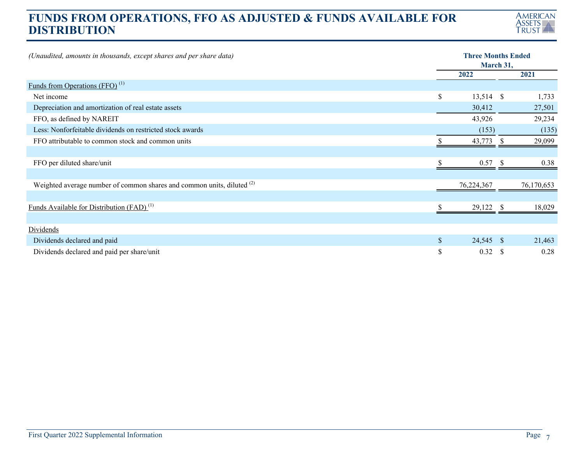### <span id="page-6-0"></span>**FUNDS FROM OPERATIONS, FFO AS ADJUSTED & FUNDS AVAILABLE FOR DISTRIBUTION**



| (Unaudited, amounts in thousands, except shares and per share data)               |               |            | <b>Three Months Ended</b> |            |  |
|-----------------------------------------------------------------------------------|---------------|------------|---------------------------|------------|--|
|                                                                                   |               | March 31,  |                           |            |  |
|                                                                                   |               | 2022       |                           | 2021       |  |
| Funds from Operations (FFO) <sup>(1)</sup>                                        |               |            |                           |            |  |
| Net income                                                                        | \$            | 13,514 \$  |                           | 1,733      |  |
| Depreciation and amortization of real estate assets                               |               | 30,412     |                           | 27,501     |  |
| FFO, as defined by NAREIT                                                         |               | 43,926     |                           | 29,234     |  |
| Less: Nonforfeitable dividends on restricted stock awards                         |               | (153)      |                           | (135)      |  |
| FFO attributable to common stock and common units                                 |               | 43,773     |                           | 29,099     |  |
|                                                                                   |               |            |                           |            |  |
| FFO per diluted share/unit                                                        | S             | 0.57       | -S                        | 0.38       |  |
|                                                                                   |               |            |                           |            |  |
| Weighted average number of common shares and common units, diluted <sup>(2)</sup> |               | 76,224,367 |                           | 76,170,653 |  |
|                                                                                   |               |            |                           |            |  |
| Funds Available for Distribution (FAD) <sup>(1)</sup>                             |               | 29,122 \$  |                           | 18,029     |  |
|                                                                                   |               |            |                           |            |  |
| Dividends                                                                         |               |            |                           |            |  |
| Dividends declared and paid                                                       | $\mathsf{\$}$ | 24,545 \$  |                           | 21,463     |  |
| Dividends declared and paid per share/unit                                        | \$            | 0.32       | -S                        | 0.28       |  |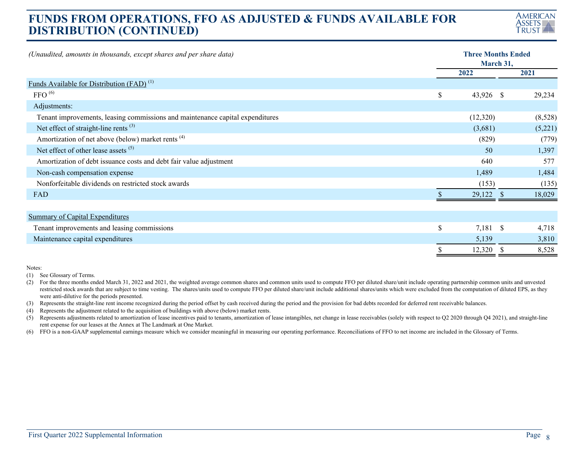### **FUNDS FROM OPERATIONS, FFO AS ADJUSTED & FUNDS AVAILABLE FOR DISTRIBUTION (CONTINUED)**



| (Unaudited, amounts in thousands, except shares and per share data)           |          | <b>Three Months Ended</b> |         |  |  |  |  |  |
|-------------------------------------------------------------------------------|----------|---------------------------|---------|--|--|--|--|--|
|                                                                               |          | March 31,                 |         |  |  |  |  |  |
|                                                                               | 2022     |                           | 2021    |  |  |  |  |  |
| Funds Available for Distribution (FAD) <sup>(1)</sup>                         |          |                           |         |  |  |  |  |  |
| FFO <sup>(6)</sup>                                                            | \$       | 43,926 \$                 | 29,234  |  |  |  |  |  |
| Adjustments:                                                                  |          |                           |         |  |  |  |  |  |
| Tenant improvements, leasing commissions and maintenance capital expenditures | (12,320) |                           | (8,528) |  |  |  |  |  |
| Net effect of straight-line rents $(3)$                                       | (3,681)  |                           | (5,221) |  |  |  |  |  |
| Amortization of net above (below) market rents <sup>(4)</sup>                 |          | (829)                     | (779)   |  |  |  |  |  |
| Net effect of other lease assets <sup>(5)</sup>                               |          | 50                        | 1,397   |  |  |  |  |  |
| Amortization of debt issuance costs and debt fair value adjustment            |          | 640                       | 577     |  |  |  |  |  |
| Non-cash compensation expense                                                 | 1,489    |                           | 1,484   |  |  |  |  |  |
| Nonforfeitable dividends on restricted stock awards                           |          | (153)                     | (135)   |  |  |  |  |  |
| <b>FAD</b>                                                                    | 29,122   |                           | 18,029  |  |  |  |  |  |
|                                                                               |          |                           |         |  |  |  |  |  |
| <b>Summary of Capital Expenditures</b>                                        |          |                           |         |  |  |  |  |  |
| Tenant improvements and leasing commissions                                   | \$       | $7,181$ \$                | 4,718   |  |  |  |  |  |
| Maintenance capital expenditures                                              | 5,139    |                           | 3,810   |  |  |  |  |  |
|                                                                               | \$       | $12,320$ \$               | 8,528   |  |  |  |  |  |

Notes:

(1) See Glossary of Terms.

(2) For the three months ended March 31, 2022 and 2021, the weighted average common shares and common units used to compute FFO per diluted share/unit include operating partnership common units and unvested restricted stock awards that are subject to time vesting. The shares/units used to compute FFO per diluted share/unit include additional shares/units which were excluded from the computation of diluted EPS, as they were anti-dilutive for the periods presented.

(3) Represents the straight-line rent income recognized during the period offset by cash received during the period and the provision for bad debts recorded for deferred rent receivable balances.

(4) Represents the adjustment related to the acquisition of buildings with above (below) market rents.

(5) Represents adjustments related to amortization of lease incentives paid to tenants, amortization of lease intangibles, net change in lease receivables (solely with respect to Q2 2020 through Q4 2021), and straight-line rent expense for our leases at the Annex at The Landmark at One Market.

(6) FFO is a non-GAAP supplemental earnings measure which we consider meaningful in measuring our operating performance. Reconciliations of FFO to net income are included in the Glossary of Terms.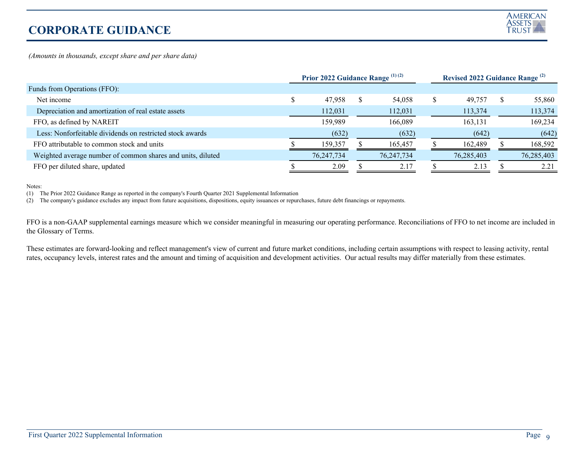### <span id="page-8-0"></span>**CORPORATE GUIDANCE**



*(Amounts in thousands, except share and per share data)*

|                                                             | Prior 2022 Guidance Range $^{(1)(2)}$ |              |            | Revised 2022 Guidance Range <sup>(2)</sup> |            |  |
|-------------------------------------------------------------|---------------------------------------|--------------|------------|--------------------------------------------|------------|--|
| Funds from Operations (FFO):                                |                                       |              |            |                                            |            |  |
| Net income                                                  | 47,958                                | 54,058       | 49,757     |                                            | 55,860     |  |
| Depreciation and amortization of real estate assets         | 112,031                               | 112,031      | 113,374    |                                            | 113,374    |  |
| FFO, as defined by NAREIT                                   | 159,989                               | 166,089      | 163,131    |                                            | 169,234    |  |
| Less: Nonforfeitable dividends on restricted stock awards   | (632)                                 | (632)        | (642)      |                                            | (642)      |  |
| FFO attributable to common stock and units                  | 159,357                               | 165,457      | 162,489    |                                            | 168,592    |  |
| Weighted average number of common shares and units, diluted | 76, 247, 734                          | 76, 247, 734 | 76,285,403 |                                            | 76,285,403 |  |
| FFO per diluted share, updated                              | 2.09                                  | 2.17         | 2.13       |                                            | 2.21       |  |

Notes:

(1) The Prior 2022 Guidance Range as reported in the company's Fourth Quarter 2021 Supplemental Information

(2) The company's guidance excludes any impact from future acquisitions, dispositions, equity issuances or repurchases, future debt financings or repayments.

FFO is a non-GAAP supplemental earnings measure which we consider meaningful in measuring our operating performance. Reconciliations of FFO to net income are included in the Glossary of Terms.

These estimates are forward-looking and reflect management's view of current and future market conditions, including certain assumptions with respect to leasing activity, rental rates, occupancy levels, interest rates and the amount and timing of acquisition and development activities. Our actual results may differ materially from these estimates.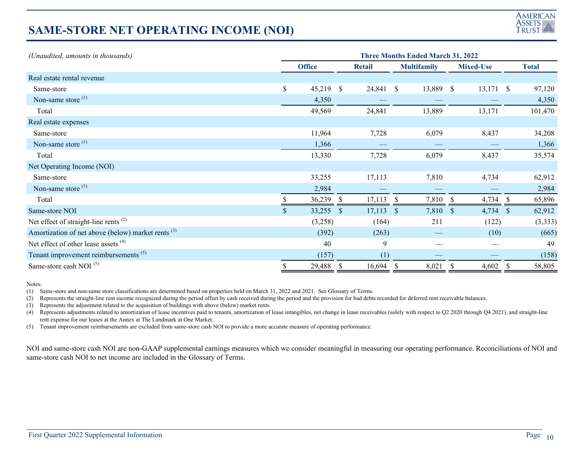### <span id="page-9-0"></span>**SAME-STORE NET OPERATING INCOME (NOI)**



| (Unaudited, amounts in thousands)                             | <b>Three Months Ended March 31, 2022</b> |               |              |               |              |                    |  |                  |     |              |
|---------------------------------------------------------------|------------------------------------------|---------------|--------------|---------------|--------------|--------------------|--|------------------|-----|--------------|
|                                                               |                                          | <b>Office</b> |              | <b>Retail</b> |              | <b>Multifamily</b> |  | <b>Mixed-Use</b> |     | <b>Total</b> |
| Real estate rental revenue                                    |                                          |               |              |               |              |                    |  |                  |     |              |
| Same-store                                                    | \$                                       | 45,219        | -S           | 24,841        | -S           | 13,889 \$          |  | $13,171$ \$      |     | 97,120       |
| Non-same store <sup>(1)</sup>                                 |                                          | 4,350         |              |               |              |                    |  |                  |     | 4,350        |
| Total                                                         |                                          | 49,569        |              | 24,841        |              | 13,889             |  | 13,171           |     | 101,470      |
| Real estate expenses                                          |                                          |               |              |               |              |                    |  |                  |     |              |
| Same-store                                                    |                                          | 11,964        |              | 7,728         |              | 6,079              |  | 8,437            |     | 34,208       |
| Non-same store $(1)$                                          |                                          | 1,366         |              |               |              |                    |  |                  |     | 1,366        |
| Total                                                         |                                          | 13,330        |              | 7,728         |              | 6,079              |  | 8,437            |     | 35,574       |
| Net Operating Income (NOI)                                    |                                          |               |              |               |              |                    |  |                  |     |              |
| Same-store                                                    |                                          | 33,255        |              | 17,113        |              | 7,810              |  | 4,734            |     | 62,912       |
| Non-same store <sup>(1)</sup>                                 |                                          | 2,984         |              |               |              |                    |  |                  |     | 2,984        |
| Total                                                         |                                          | 36,239        | - S          | 17,113        | <sup>S</sup> | 7,810              |  | 4,734            | - S | 65,896       |
| Same-store NOI                                                | \$                                       | 33,255        | <sup>S</sup> | $17,113$ \$   |              | 7,810 \$           |  | $4,734$ \$       |     | 62,912       |
| Net effect of straight-line rents $^{(2)}$                    |                                          | (3,258)       |              | (164)         |              | 211                |  | (122)            |     | (3, 333)     |
| Amortization of net above (below) market rents <sup>(3)</sup> |                                          | (392)         |              | (263)         |              |                    |  | (10)             |     | (665)        |
| Net effect of other lease assets $(4)$                        |                                          | 40            |              | 9             |              |                    |  |                  |     | 49           |
| Tenant improvement reimbursements <sup>(5)</sup>              |                                          | (157)         |              | (1)           |              |                    |  |                  |     | (158)        |
| Same-store cash NOI $(5)$                                     |                                          | 29,488        |              | 16,694        | \$           | 8,021              |  | 4,602            |     | 58,805       |

Notes:

(1) Same-store and non-same store classifications are determined based on properties held on March 31, 2022 and 2021. See Glossary of Terms.

(2) Represents the straight-line rent income recognized during the period offset by cash received during the period and the provision for bad debts recorded for deferred rent receivable balances.

(3) Represents the adjustment related to the acquisition of buildings with above (below) market rents.

(4) Represents adjustments related to amortization of lease incentives paid to tenants, amortization of lease intangibles, net change in lease receivables (solely with respect to Q2 2020 through Q4 2021), and straight-line rent expense for our leases at the Annex at The Landmark at One Market.

(5) Tenant improvement reimbursements are excluded from same-store cash NOI to provide a more accurate measure of operating performance.

NOI and same-store cash NOI are non-GAAP supplemental earnings measures which we consider meaningful in measuring our operating performance. Reconciliations of NOI and same-store cash NOI to net income are included in the Glossary of Terms.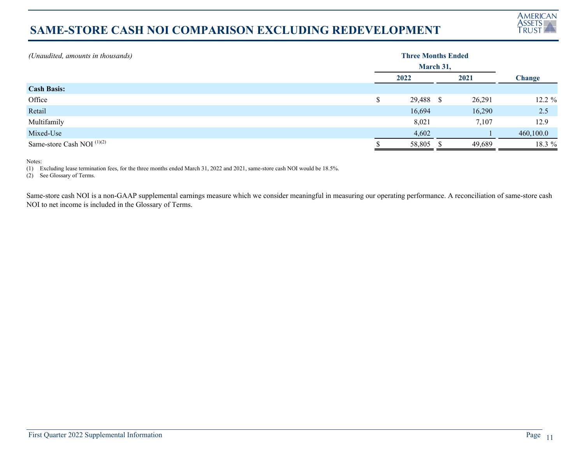### <span id="page-10-0"></span>**SAME-STORE CASH NOI COMPARISON EXCLUDING REDEVELOPMENT**

| (Unaudited, amounts in thousands)     |           |        |    |        |               |
|---------------------------------------|-----------|--------|----|--------|---------------|
|                                       | March 31, |        |    |        |               |
|                                       | 2022      |        |    | 2021   | <b>Change</b> |
| <b>Cash Basis:</b>                    |           |        |    |        |               |
| Office                                | ۰D.       | 29,488 | -S | 26,291 | $12.2 \%$     |
| Retail                                |           | 16,694 |    | 16,290 | 2.5           |
| Multifamily                           |           | 8,021  |    | 7,107  | 12.9          |
| Mixed-Use                             |           | 4,602  |    |        | 460,100.0     |
| Same-store Cash NOI <sup>(1)(2)</sup> |           | 58,805 |    | 49,689 | 18.3 %        |

Notes:

(1) Excluding lease termination fees, for the three months ended March 31, 2022 and 2021, same-store cash NOI would be 18.5%.

(2) See Glossary of Terms.

Same-store cash NOI is a non-GAAP supplemental earnings measure which we consider meaningful in measuring our operating performance. A reconciliation of same-store cash NOI to net income is included in the Glossary of Terms.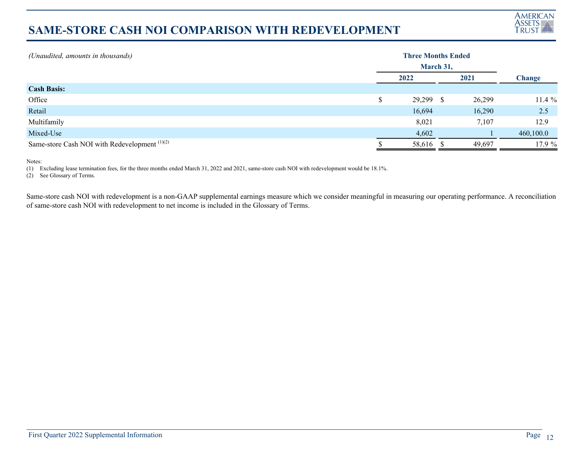### <span id="page-11-0"></span>**SAME-STORE CASH NOI COMPARISON WITH REDEVELOPMENT**



| (Unaudited, amounts in thousands)               |   | <b>Three Months Ended</b> |  |        |               |  |  |  |  |  |  |
|-------------------------------------------------|---|---------------------------|--|--------|---------------|--|--|--|--|--|--|
|                                                 |   | March 31,                 |  |        |               |  |  |  |  |  |  |
|                                                 |   | 2022                      |  | 2021   | <b>Change</b> |  |  |  |  |  |  |
| <b>Cash Basis:</b>                              |   |                           |  |        |               |  |  |  |  |  |  |
| Office                                          | D | 29,299 \$                 |  | 26,299 | $11.4 \%$     |  |  |  |  |  |  |
| Retail                                          |   | 16,694                    |  | 16,290 | 2.5           |  |  |  |  |  |  |
| Multifamily                                     |   | 8,021                     |  | 7,107  | 12.9          |  |  |  |  |  |  |
| Mixed-Use                                       |   | 4,602                     |  |        | 460,100.0     |  |  |  |  |  |  |
| Same-store Cash NOI with Redevelopment $(1)(2)$ |   | 58,616                    |  | 49,697 | 17.9%         |  |  |  |  |  |  |

Notes:

(1) Excluding lease termination fees, for the three months ended March 31, 2022 and 2021, same-store cash NOI with redevelopment would be 18.1%.

(2) See Glossary of Terms.

Same-store cash NOI with redevelopment is a non-GAAP supplemental earnings measure which we consider meaningful in measuring our operating performance. A reconciliation of same-store cash NOI with redevelopment to net income is included in the Glossary of Terms.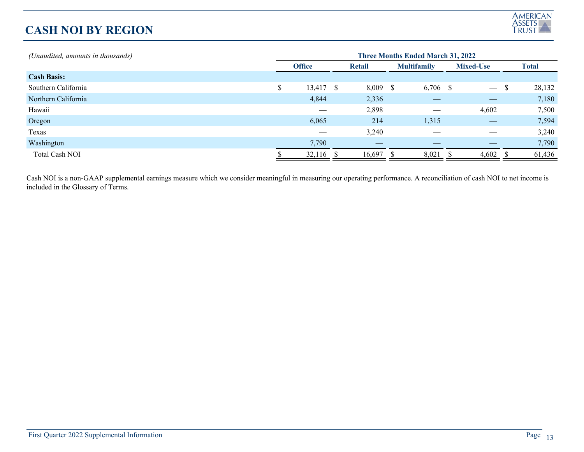### <span id="page-12-0"></span>**CASH NOI BY REGION**



| (Unaudited, amounts in thousands) | <b>Three Months Ended March 31, 2022</b> |               |  |               |  |                    |  |                   |    |              |
|-----------------------------------|------------------------------------------|---------------|--|---------------|--|--------------------|--|-------------------|----|--------------|
|                                   |                                          | <b>Office</b> |  | <b>Retail</b> |  | <b>Multifamily</b> |  | <b>Mixed-Use</b>  |    | <b>Total</b> |
| <b>Cash Basis:</b>                |                                          |               |  |               |  |                    |  |                   |    |              |
| Southern California               | S.                                       | $13,417$ \$   |  | $8,009$ \$    |  | $6,706$ \$         |  | $\hspace{0.05cm}$ | -S | 28,132       |
| Northern California               |                                          | 4,844         |  | 2,336         |  |                    |  |                   |    | 7,180        |
| Hawaii                            |                                          |               |  | 2,898         |  |                    |  | 4,602             |    | 7,500        |
| Oregon                            |                                          | 6,065         |  | 214           |  | 1,315              |  |                   |    | 7,594        |
| Texas                             |                                          |               |  | 3,240         |  |                    |  |                   |    | 3,240        |
| Washington                        |                                          | 7,790         |  |               |  |                    |  |                   |    | 7,790        |
| Total Cash NOI                    |                                          | 32,116 \$     |  | 16,697        |  | 8,021              |  | 4,602             |    | 61,436       |

Cash NOI is a non-GAAP supplemental earnings measure which we consider meaningful in measuring our operating performance. A reconciliation of cash NOI to net income is included in the Glossary of Terms.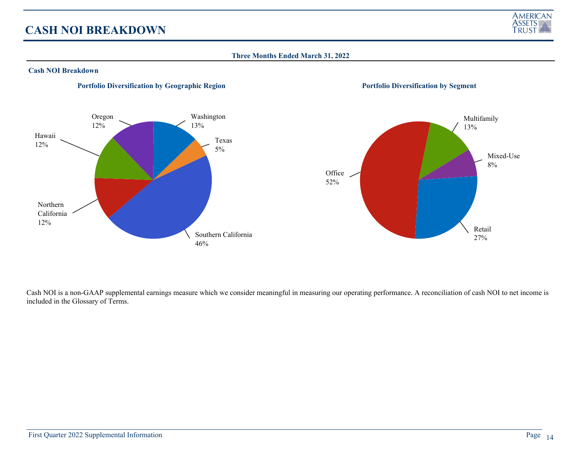### <span id="page-13-0"></span>**CASH NOI BREAKDOWN**



#### **Three Months Ended March 31, 2022**

#### **Cash NOI Breakdown**



Cash NOI is a non-GAAP supplemental earnings measure which we consider meaningful in measuring our operating performance. A reconciliation of cash NOI to net income is included in the Glossary of Terms.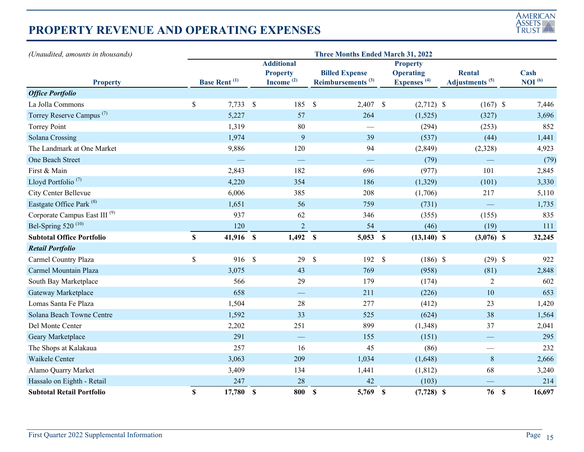### <span id="page-14-0"></span>**PROPERTY REVENUE AND OPERATING EXPENSES**



| (Unaudited, amounts in thousands)        |                                 |                          |             |                                                      |               | <b>Three Months Ended March 31, 2022</b>               |                                                                |                |                                             |                          |                                   |
|------------------------------------------|---------------------------------|--------------------------|-------------|------------------------------------------------------|---------------|--------------------------------------------------------|----------------------------------------------------------------|----------------|---------------------------------------------|--------------------------|-----------------------------------|
| <b>Property</b>                          | <b>Base Rent</b> <sup>(1)</sup> |                          |             | <b>Additional</b><br><b>Property</b><br>Income $(2)$ |               | <b>Billed Expense</b><br>Reimbursements <sup>(3)</sup> | <b>Property</b><br><b>Operating</b><br>Expenses <sup>(4)</sup> |                | <b>Rental</b><br>Adjustments <sup>(5)</sup> |                          | <b>Cash</b><br>NOI <sup>(6)</sup> |
| <b>Office Portfolio</b>                  |                                 |                          |             |                                                      |               |                                                        |                                                                |                |                                             |                          |                                   |
| La Jolla Commons                         | $\$$                            | $7,733$ \$               |             | 185                                                  | $\mathcal{S}$ | 2,407 \$                                               |                                                                | $(2,712)$ \$   |                                             | $(167)$ \$               | 7,446                             |
| Torrey Reserve Campus <sup>(7)</sup>     |                                 | 5,227                    |             | 57                                                   |               | 264                                                    |                                                                | (1,525)        | (327)                                       |                          | 3,696                             |
| <b>Torrey Point</b>                      |                                 | 1,319                    |             | 80                                                   |               |                                                        |                                                                | (294)          | (253)                                       |                          | 852                               |
| Solana Crossing                          |                                 | 1,974                    |             | 9                                                    |               | 39                                                     |                                                                | (537)          | (44)                                        |                          | 1,441                             |
| The Landmark at One Market               |                                 | 9,886                    |             | 120                                                  |               | 94                                                     |                                                                | (2,849)        | (2,328)                                     |                          | 4,923                             |
| One Beach Street                         |                                 | $\overline{\phantom{m}}$ |             | $\overline{\phantom{m}}$                             |               |                                                        |                                                                | (79)           |                                             | $\overline{\phantom{m}}$ | (79)                              |
| First & Main                             |                                 | 2,843                    |             | 182                                                  |               | 696                                                    |                                                                | (977)          | 101                                         |                          | 2,845                             |
| Lloyd Portfolio <sup>(7)</sup>           |                                 | 4,220                    |             | 354                                                  |               | 186                                                    |                                                                | (1,329)        | (101)                                       |                          | 3,330                             |
| City Center Bellevue                     |                                 | 6,006                    |             | 385                                                  |               | 208                                                    |                                                                | (1,706)        | 217                                         |                          | 5,110                             |
| Eastgate Office Park <sup>(8)</sup>      |                                 | 1,651                    |             | 56                                                   |               | 759                                                    |                                                                | (731)          | $\overline{\phantom{m}}$                    |                          | 1,735                             |
| Corporate Campus East III <sup>(9)</sup> |                                 | 937                      |             | 62                                                   |               | 346                                                    |                                                                | (355)          | (155)                                       |                          | 835                               |
| Bel-Spring $520$ <sup>(10)</sup>         |                                 | 120                      |             | $\boldsymbol{2}$                                     |               | 54                                                     |                                                                | (46)           | (19)                                        |                          | 111                               |
| <b>Subtotal Office Portfolio</b>         | $\mathbf S$                     | 41,916 \$                |             | $1,492$ \$                                           |               | $5,053$ \$                                             |                                                                | $(13, 140)$ \$ | $(3,076)$ \$                                |                          | 32,245                            |
| <b>Retail Portfolio</b>                  |                                 |                          |             |                                                      |               |                                                        |                                                                |                |                                             |                          |                                   |
| Carmel Country Plaza                     | $\$$                            | 916 \$                   |             | 29                                                   | $\mathcal{S}$ | 192S                                                   |                                                                | $(186)$ \$     |                                             | $(29)$ \$                | 922                               |
| Carmel Mountain Plaza                    |                                 | 3,075                    |             | 43                                                   |               | 769                                                    |                                                                | (958)          | (81)                                        |                          | 2,848                             |
| South Bay Marketplace                    |                                 | 566                      |             | 29                                                   |               | 179                                                    |                                                                | (174)          |                                             | $\overline{2}$           | 602                               |
| Gateway Marketplace                      |                                 | 658                      |             |                                                      |               | 211                                                    |                                                                | (226)          | 10                                          |                          | 653                               |
| Lomas Santa Fe Plaza                     |                                 | 1,504                    |             | 28                                                   |               | 277                                                    |                                                                | (412)          | 23                                          |                          | 1,420                             |
| Solana Beach Towne Centre                |                                 | 1,592                    |             | 33                                                   |               | 525                                                    |                                                                | (624)          |                                             | 38                       | 1,564                             |
| Del Monte Center                         |                                 | 2,202                    |             | 251                                                  |               | 899                                                    |                                                                | (1, 348)       | 37                                          |                          | 2,041                             |
| Geary Marketplace                        |                                 | 291                      |             | $\hspace{0.1mm}-\hspace{0.1mm}$                      |               | 155                                                    |                                                                | (151)          |                                             |                          | 295                               |
| The Shops at Kalakaua                    |                                 | 257                      |             | 16                                                   |               | 45                                                     |                                                                | (86)           |                                             |                          | 232                               |
| Waikele Center                           |                                 | 3,063                    |             | 209                                                  |               | 1,034                                                  |                                                                | (1,648)        |                                             | $\,8\,$                  | 2,666                             |
| Alamo Quarry Market                      |                                 | 3,409                    |             | 134                                                  |               | 1,441                                                  |                                                                | (1, 812)       | 68                                          |                          | 3,240                             |
| Hassalo on Eighth - Retail               |                                 | 247                      |             | 28                                                   |               | 42                                                     |                                                                | (103)          |                                             |                          | 214                               |
| <b>Subtotal Retail Portfolio</b>         | $\mathbf S$                     | 17,780                   | $\mathbf S$ | 800 \$                                               |               | 5,769                                                  | $\mathbf{s}$                                                   | $(7,728)$ \$   |                                             | 76 \$                    | 16,697                            |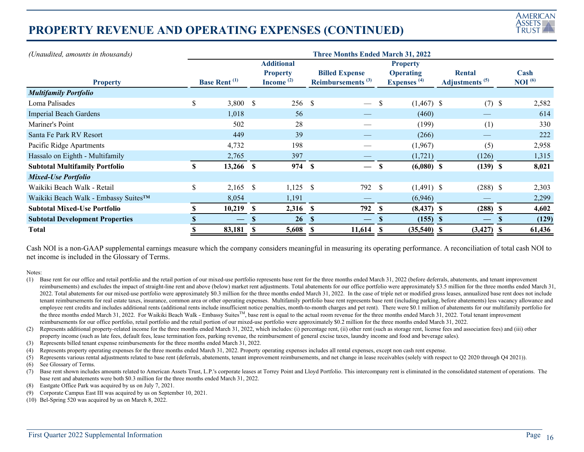### **PROPERTY REVENUE AND OPERATING EXPENSES (CONTINUED)**



| (Unaudited, amounts in thousands)      | <b>Three Months Ended March 31, 2022</b> |                                 |              |                                      |               |                                 |              |                                     |  |                            |          |                    |
|----------------------------------------|------------------------------------------|---------------------------------|--------------|--------------------------------------|---------------|---------------------------------|--------------|-------------------------------------|--|----------------------------|----------|--------------------|
|                                        |                                          |                                 |              | <b>Additional</b><br><b>Property</b> |               | <b>Billed Expense</b>           |              | <b>Property</b><br><b>Operating</b> |  | <b>Rental</b>              |          | Cash               |
| <b>Property</b>                        |                                          | <b>Base Rent</b> <sup>(1)</sup> |              | Income $(2)$                         |               | Reimbursements <sup>(3)</sup>   |              | Expenses <sup>(4)</sup>             |  | Adjustments <sup>(5)</sup> |          | NOI <sup>(6)</sup> |
| <b>Multifamily Portfolio</b>           |                                          |                                 |              |                                      |               |                                 |              |                                     |  |                            |          |                    |
| Loma Palisades                         | \$                                       | $3,800$ \$                      |              | 256                                  | $\mathbb{S}$  | $\overbrace{\qquad \qquad }^{}$ | S            | $(1,467)$ \$                        |  | $(7)$ \$                   |          | 2,582              |
| <b>Imperial Beach Gardens</b>          |                                          | 1,018                           |              | 56                                   |               |                                 |              | (460)                               |  |                            |          | 614                |
| Mariner's Point                        |                                          | 502                             |              | 28                                   |               |                                 |              | (199)                               |  | (1)                        |          | 330                |
| Santa Fe Park RV Resort                |                                          | 449                             |              | 39                                   |               |                                 |              | (266)                               |  |                            |          | 222                |
| Pacific Ridge Apartments               |                                          | 4,732                           |              | 198                                  |               |                                 |              | (1,967)                             |  | (5)                        |          | 2,958              |
| Hassalo on Eighth - Multifamily        |                                          | 2,765                           |              | 397                                  |               |                                 |              | (1, 721)                            |  | (126)                      |          | 1,315              |
| <b>Subtotal Multifamily Portfolio</b>  | \$                                       | $13,266$ \$                     |              | 974                                  | <b>S</b>      | $\qquad \qquad$                 | S            | $(6,080)$ \$                        |  | $(139)$ \$                 |          | 8,021              |
| <b>Mixed-Use Portfolio</b>             |                                          |                                 |              |                                      |               |                                 |              |                                     |  |                            |          |                    |
| Waikiki Beach Walk - Retail            | \$                                       | $2,165$ \$                      |              | 1,125                                | \$            | 792                             | -S           | $(1,491)$ \$                        |  | $(288)$ \$                 |          | 2,303              |
| Waikiki Beach Walk - Embassy Suites™   |                                          | 8,054                           |              | 1,191                                |               |                                 |              | (6,946)                             |  |                            |          | 2,299              |
| <b>Subtotal Mixed-Use Portfolio</b>    |                                          | 10,219                          | -S           | 2,316                                | $\mathbf{s}$  | 792                             | S            | $(8,437)$ \$                        |  | $(288)$ \$                 |          | 4,602              |
| <b>Subtotal Development Properties</b> |                                          |                                 | <sup>S</sup> | 26                                   | <sup>\$</sup> | $\overline{\phantom{0}}$        | <sup>S</sup> | $(155)$ \$                          |  | $\overline{\phantom{0}}$   | <b>S</b> | (129)              |
| Total                                  |                                          | 83,181                          | S            | 5,608                                | S             | 11,614                          | S            | $(35,540)$ \$                       |  | $(3,427)$ \$               |          | 61,436             |

Cash NOI is a non-GAAP supplemental earnings measure which the company considers meaningful in measuring its operating performance. A reconciliation of total cash NOI to net income is included in the Glossary of Terms.

Notes:

- (1) Base rent for our office and retail portfolio and the retail portion of our mixed-use portfolio represents base rent for the three months ended March 31, 2022 (before deferrals, abatements, and tenant improvement reimbursements) and excludes the impact of straight-line rent and above (below) market rent adjustments. Total abatements for our office portfolio were approximately \$3.5 million for the three months ended March 31, 2022. Total abatements for our mixed-use portfolio were approximately \$0.3 million for the three months ended March 31, 2022. In the case of triple net or modified gross leases, annualized base rent does not include tenant reimbursements for real estate taxes, insurance, common area or other operating expenses. Multifamily portfolio base rent represents base rent (including parking, before abatements) less vacancy allowance and employee rent credits and includes additional rents (additional rents include insufficient notice penalties, month-to-month charges and pet rent). There were \$0.1 million of abatements for our multifamily portfolio for the three months ended March 31, 2022. For Waikiki Beach Walk - Embassy Suites™, base rent is equal to the actual room revenue for the three months ended March 31, 2022. Total tenant improvement reimbursements for our office portfolio, retail portfolio and the retail portion of our mixed-use portfolio were approximately \$0.2 million for the three months ended March 31, 2022.
- (2) Represents additional property-related income for the three months ended March 31, 2022, which includes: (i) percentage rent, (ii) other rent (such as storage rent, license fees and association fees) and (iii) other property income (such as late fees, default fees, lease termination fees, parking revenue, the reimbursement of general excise taxes, laundry income and food and beverage sales).
- (3) Represents billed tenant expense reimbursements for the three months ended March 31, 2022.
- (4) Represents property operating expenses for the three months ended March 31, 2022. Property operating expenses includes all rental expenses, except non cash rent expense.
- (5) Represents various rental adjustments related to base rent (deferrals, abatements, tenant improvement reimbursements, and net change in lease receivables (solely with respect to Q2 2020 through Q4 2021)).
- (6) See Glossary of Terms.
- (7) Base rent shown includes amounts related to American Assets Trust, L.P.'s corporate leases at Torrey Point and Lloyd Portfolio. This intercompany rent is eliminated in the consolidated statement of operations. The base rent and abatements were both \$0.3 million for the three months ended March 31, 2022.
- (8) Eastgate Office Park was acquired by us on July 7, 2021.
- (9) Corporate Campus East III was acquired by us on September 10, 2021.
- (10) Bel-Spring 520 was acquired by us on March 8, 2022.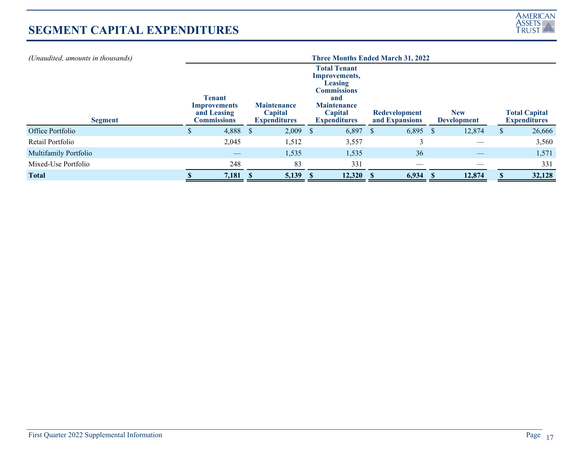### <span id="page-16-0"></span>**SEGMENT CAPITAL EXPENDITURES**



| (Unaudited, amounts in thousands) | <b>Three Months Ended March 31, 2022</b>                                  |                                                      |                                                                                                                                             |                                 |                                  |                                             |  |  |  |  |  |  |  |  |
|-----------------------------------|---------------------------------------------------------------------------|------------------------------------------------------|---------------------------------------------------------------------------------------------------------------------------------------------|---------------------------------|----------------------------------|---------------------------------------------|--|--|--|--|--|--|--|--|
| <b>Segment</b>                    | <b>Tenant</b><br><b>Improvements</b><br>and Leasing<br><b>Commissions</b> | <b>Maintenance</b><br>Capital<br><b>Expenditures</b> | <b>Total Tenant</b><br>Improvements,<br>Leasing<br><b>Commissions</b><br>and<br><b>Maintenance</b><br><b>Capital</b><br><b>Expenditures</b> | Redevelopment<br>and Expansions | <b>New</b><br><b>Development</b> | <b>Total Capital</b><br><b>Expenditures</b> |  |  |  |  |  |  |  |  |
| Office Portfolio                  | 4,888 \$<br>AD.                                                           | $2,009$ \$                                           | $6,897$ \$                                                                                                                                  | 6,895                           | 12,874<br>- S                    | 26,666<br>ЭĐ.                               |  |  |  |  |  |  |  |  |
| Retail Portfolio                  | 2,045                                                                     | 1,512                                                | 3,557                                                                                                                                       | 3                               |                                  | 3,560                                       |  |  |  |  |  |  |  |  |
| Multifamily Portfolio             |                                                                           | 1,535                                                | 1,535                                                                                                                                       | 36                              |                                  | 1,571                                       |  |  |  |  |  |  |  |  |
| Mixed-Use Portfolio               | 248                                                                       | 83                                                   | 331                                                                                                                                         |                                 |                                  | 331                                         |  |  |  |  |  |  |  |  |
| <b>Total</b>                      | 7,181                                                                     | 5,139<br>- S                                         | $12,320$ \$                                                                                                                                 | 6,934                           | 12,874<br>-8                     | 32,128                                      |  |  |  |  |  |  |  |  |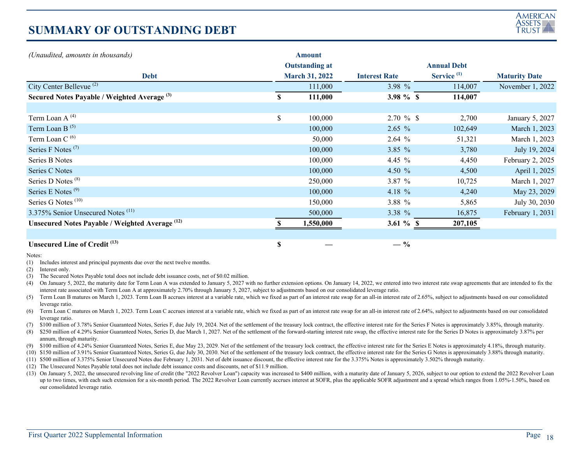### <span id="page-17-0"></span>**SUMMARY OF OUTSTANDING DEBT**



| (Unaudited, amounts in thousands)                          | <b>Amount</b>         |                      |                        |                      |  |  |
|------------------------------------------------------------|-----------------------|----------------------|------------------------|----------------------|--|--|
|                                                            | <b>Outstanding at</b> | <b>Annual Debt</b>   |                        |                      |  |  |
| <b>Debt</b>                                                | <b>March 31, 2022</b> | <b>Interest Rate</b> | Service <sup>(1)</sup> | <b>Maturity Date</b> |  |  |
| City Center Bellevue <sup>(2)</sup>                        | 111,000               | 3.98 $%$             | 114,007                | November 1, 2022     |  |  |
| Secured Notes Payable / Weighted Average <sup>(3)</sup>    | \$<br>111,000         | 3.98 $%$ \$          | 114,007                |                      |  |  |
|                                                            |                       |                      |                        |                      |  |  |
| Term Loan A $(4)$                                          | \$<br>100,000         | $2.70 \%$ \$         | 2,700                  | January 5, 2027      |  |  |
| Term Loan B $(5)$                                          | 100,000               | $2.65\%$             | 102,649                | March 1, 2023        |  |  |
| Term Loan C $(6)$                                          | 50,000                | 2.64 %               | 51,321                 | March 1, 2023        |  |  |
| Series F Notes <sup>(7)</sup>                              | 100,000               | 3.85 $%$             | 3,780                  | July 19, 2024        |  |  |
| Series B Notes                                             | 100,000               | 4.45 %               | 4,450                  | February 2, 2025     |  |  |
| Series C Notes                                             | 100,000               | 4.50 $%$             | 4,500                  | April 1, 2025        |  |  |
| Series D Notes <sup>(8)</sup>                              | 250,000               | 3.87 %               | 10,725                 | March 1, 2027        |  |  |
| Series E Notes <sup>(9)</sup>                              | 100,000               | 4.18 %               | 4,240                  | May 23, 2029         |  |  |
| Series G Notes <sup>(10)</sup>                             | 150,000               | 3.88 %               | 5,865                  | July 30, 2030        |  |  |
| 3.375% Senior Unsecured Notes (11)                         | 500,000               | 3.38 %               | 16,875                 | February 1, 2031     |  |  |
| Unsecured Notes Payable / Weighted Average <sup>(12)</sup> | 1,550,000             | 3.61 $%$ \$          | 207,105                |                      |  |  |
|                                                            |                       |                      |                        |                      |  |  |
| <b>Unsecured Line of Credit (13)</b>                       | \$                    | $-$ %                |                        |                      |  |  |

Notes:

- (1) Includes interest and principal payments due over the next twelve months.
- (2) Interest only.
- (3) The Secured Notes Payable total does not include debt issuance costs, net of \$0.02 million.
- (4) On January 5, 2022, the maturity date for Term Loan A was extended to January 5, 2027 with no further extension options. On January 14, 2022, we entered into two interest rate swap agreements that are intended to fix t interest rate associated with Term Loan A at approximately 2.70% through January 5, 2027, subject to adjustments based on our consolidated leverage ratio.
- (5) Term Loan B matures on March 1, 2023. Term Loan B accrues interest at a variable rate, which we fixed as part of an interest rate swap for an all-in interest rate of 2.65%, subject to adjustments based on our consolida leverage ratio.
- (6) Term Loan C matures on March 1, 2023. Term Loan C accrues interest at a variable rate, which we fixed as part of an interest rate swap for an all-in interest rate of 2.64%, subject to adjustments based on our consolida leverage ratio.
- (7) \$100 million of 3.78% Senior Guaranteed Notes, Series F, due July 19, 2024. Net of the settlement of the treasury lock contract, the effective interest rate for the Series F Notes is approximately 3.85%, through maturi
- (8) \$250 million of 4.29% Senior Guaranteed Notes, Series D, due March 1, 2027. Net of the settlement of the forward-starting interest rate swap, the effective interest rate for the Series D Notes is approximately 3.87% per annum, through maturity.
- (9) \$100 million of 4.24% Senior Guaranteed Notes, Series E, due May 23, 2029. Net of the settlement of the treasury lock contract, the effective interest rate for the Series E Notes is approximately 4.18%, through maturity.
- (10) \$150 million of 3.91% Senior Guaranteed Notes, Series G, due July 30, 2030. Net of the settlement of the treasury lock contract, the effective interest rate for the Series G Notes is approximately 3.88% through maturi
- (11) \$500 million of 3.375% Senior Unsecured Notes due February 1, 2031. Net of debt issuance discount, the effective interest rate for the 3.375% Notes is approximately 3.502% through maturity.
- (12) The Unsecured Notes Payable total does not include debt issuance costs and discounts, net of \$11.9 million.
- (13) On January 5, 2022, the unsecured revolving line of credit (the "2022 Revolver Loan") capacity was increased to \$400 million, with a maturity date of January 5, 2026, subject to our option to extend the 2022 Revolver up to two times, with each such extension for a six-month period. The 2022 Revolver Loan currently accrues interest at SOFR, plus the applicable SOFR adjustment and a spread which ranges from 1.05%-1.50%, based on our consolidated leverage ratio.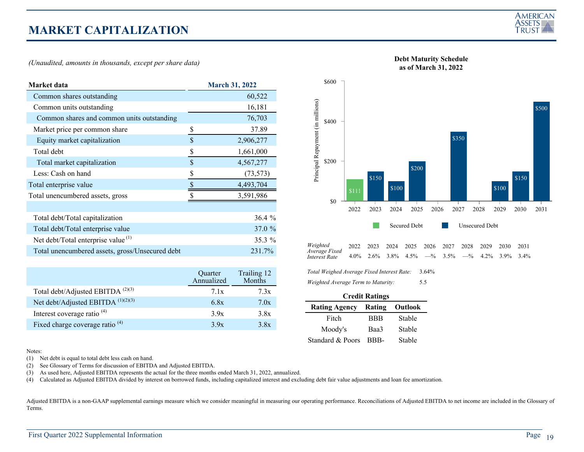

<span id="page-18-0"></span>*(Unaudited, amounts in thousands, except per share data)*

| Market data                                     | <b>March 31, 2022</b> |
|-------------------------------------------------|-----------------------|
| Common shares outstanding                       | 60,522                |
| Common units outstanding                        | 16,181                |
| Common shares and common units outstanding      | 76,703                |
| Market price per common share                   | \$<br>37.89           |
| Equity market capitalization                    | \$<br>2,906,277       |
| Total debt                                      | \$<br>1,661,000       |
| Total market capitalization                     | \$<br>4,567,277       |
| Less: Cash on hand                              | \$<br>(73, 573)       |
| Total enterprise value                          | \$<br>4,493,704       |
| Total unencumbered assets, gross                | 3,591,986             |
|                                                 |                       |
| Total debt/Total capitalization                 | 36.4%                 |
| Total debt/Total enterprise value               | 37.0 $%$              |
| Net debt/Total enterprise value <sup>(1)</sup>  | 35.3 %                |
| Total unencumbered assets, gross/Unsecured debt | 231.7%                |

|                                            | Quarter<br>Annualized | Trailing 12<br>Months |
|--------------------------------------------|-----------------------|-----------------------|
| Total debt/Adjusted EBITDA $^{(2)(3)}$     | 7.1x                  | 7.3x                  |
| Net debt/Adjusted EBITDA $^{(1)(2)(3)}$    | 6.8x                  | 7.0x                  |
| Interest coverage ratio $(4)$              | 3.9x                  | 3.8x                  |
| Fixed charge coverage ratio <sup>(4)</sup> | 3.9x                  | 3.8x                  |



**Debt Maturity Schedule**

| Weighted<br>Average Fixed |  |  | 2022 2023 2024 2025 2026 2027 2028 2029 2030 2031                           |  |  |
|---------------------------|--|--|-----------------------------------------------------------------------------|--|--|
| Interest Rate             |  |  | $4.0\%$ $2.6\%$ $3.8\%$ $4.5\%$ $ \%$ $3.5\%$ $ \%$ $4.2\%$ $3.9\%$ $3.4\%$ |  |  |

*Total Weighed Average Fixed Interest Rate:* 3.64%

*Weighted Average Term to Maturity:* 5.5

| <b>Credit Ratings</b> |            |         |  |  |  |  |  |  |  |  |  |
|-----------------------|------------|---------|--|--|--|--|--|--|--|--|--|
| <b>Rating Agency</b>  | Rating     | Outlook |  |  |  |  |  |  |  |  |  |
| Fitch                 | <b>BBB</b> | Stable  |  |  |  |  |  |  |  |  |  |
| Moody's               | Baa3       | Stable  |  |  |  |  |  |  |  |  |  |
| Standard & Poors      | BBB-       | Stable  |  |  |  |  |  |  |  |  |  |

Notes:

(1) Net debt is equal to total debt less cash on hand.

(2) See Glossary of Terms for discussion of EBITDA and Adjusted EBITDA.

(3) As used here, Adjusted EBITDA represents the actual for the three months ended March 31, 2022, annualized.

(4) Calculated as Adjusted EBITDA divided by interest on borrowed funds, including capitalized interest and excluding debt fair value adjustments and loan fee amortization.

Adjusted EBITDA is a non-GAAP supplemental earnings measure which we consider meaningful in measuring our operating performance. Reconciliations of Adjusted EBITDA to net income are included in the Glossary of Terms.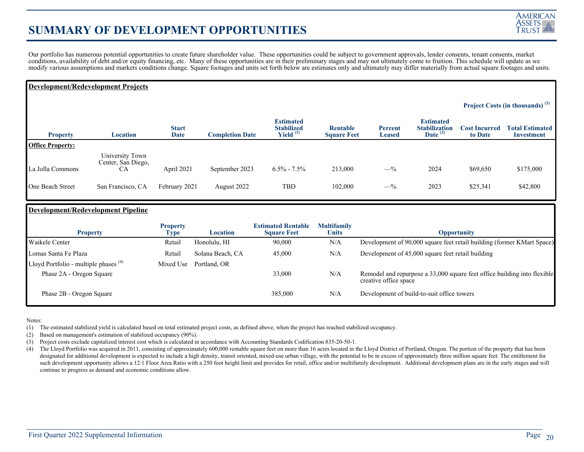### <span id="page-19-0"></span>**SUMMARY OF DEVELOPMENT OPPORTUNITIES**



Our portfolio has numerous potential opportunities to create future shareholder value. These opportunities could be subject to government approvals, lender consents, tenant consents, market conditions, availability of debt and/or equity financing, etc. Many of these opportunities are in their preliminary stages and may not ultimately come to fruition. This schedule will update as we modify various assumptions and markets conditions change. Square footages and units set forth below are estimates only and ultimately may differ materially from actual square footages and units.

### **Development/Redevelopment Projects**

|                         |                                             |                      |                        |                                                      |                                |                          |                                                        |                          | Project Costs (in thousands) <sup>(3)</sup> |
|-------------------------|---------------------------------------------|----------------------|------------------------|------------------------------------------------------|--------------------------------|--------------------------|--------------------------------------------------------|--------------------------|---------------------------------------------|
| <b>Property</b>         | <b>Location</b>                             | <b>Start</b><br>Date | <b>Completion Date</b> | <b>Estimated</b><br><b>Stabilized</b><br>Yield $(1)$ | Rentable<br><b>Square Feet</b> | Percent<br><b>Leased</b> | <b>Estimated</b><br><b>Stabilization</b><br>Date $(2)$ | Cost Incurred<br>to Date | <b>Total Estimated</b><br><b>Investment</b> |
| <b>Office Property:</b> |                                             |                      |                        |                                                      |                                |                          |                                                        |                          |                                             |
| La Jolla Commons        | University Town<br>Center, San Diego,<br>СA | April 2021           | September 2023         | $6.5\% - 7.5\%$                                      | 213,000                        | $-$ %                    | 2024                                                   | \$69,650                 | \$175,000                                   |
| One Beach Street        | San Francisco, CA                           | February 2021        | August 2022            | <b>TBD</b>                                           | 102,000                        | $-$ %                    | 2023                                                   | \$25,341                 | \$42,800                                    |

#### **Development/Redevelopment Pipeline**

| <b>Property</b>                         | <b>Property</b><br>Type | <b>Location</b>  | <b>Estimated Rentable</b><br><b>Square Feet</b> | <b>Multifamily</b><br>Units | Opportunity                                                                                       |
|-----------------------------------------|-------------------------|------------------|-------------------------------------------------|-----------------------------|---------------------------------------------------------------------------------------------------|
| <b>Waikele Center</b>                   | Retail                  | Honolulu, HI     | 90,000                                          | N/A                         | Development of 90,000 square feet retail building (former KMart Space)                            |
| Lomas Santa Fe Plaza                    | Retail                  | Solana Beach, CA | 45,000                                          | N/A                         | Development of 45,000 square feet retail building                                                 |
| Lloyd Portfolio - multiple phases $(4)$ | Mixed Use               | Portland, OR     |                                                 |                             |                                                                                                   |
| Phase 2A - Oregon Square                |                         |                  | 33,000                                          | N/A                         | Remodel and repurpose a 33,000 square feet office building into flexible<br>creative office space |
| Phase 2B - Oregon Square                |                         |                  | 385,000                                         | N/A                         | Development of build-to-suit office towers                                                        |

Notes:

(1) The estimated stabilized yield is calculated based on total estimated project costs, as defined above, when the project has reached stabilized occupancy.

(2) Based on management's estimation of stabilized occupancy (90%).

(3) Project costs exclude capitalized interest cost which is calculated in accordance with Accounting Standards Codification 835-20-50-1.

(4) The Lloyd Portfolio was acquired in 2011, consisting of approximately 600,000 rentable square feet on more than 16 acres located in the Lloyd District of Portland, Oregon. The portion of the property that has been designated for additional development is expected to include a high density, transit oriented, mixed-use urban village, with the potential to be in excess of approximately three million square feet. The entitlement for such development opportunity allows a 12:1 Floor Area Ratio with a 250 foot height limit and provides for retail, office and/or multifamily development. Additional development plans are in the early stages and will continue to progress as demand and economic conditions allow.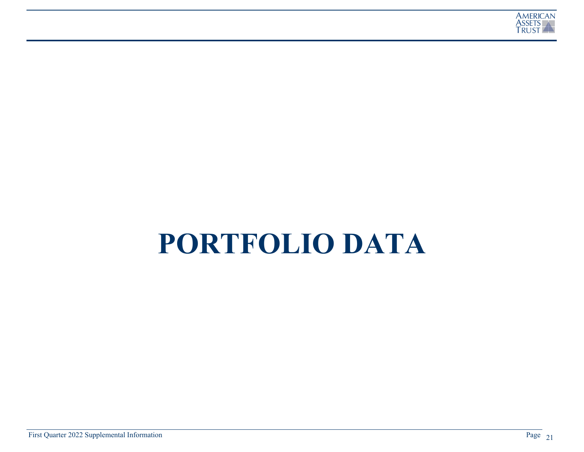

# **PORTFOLIO DATA**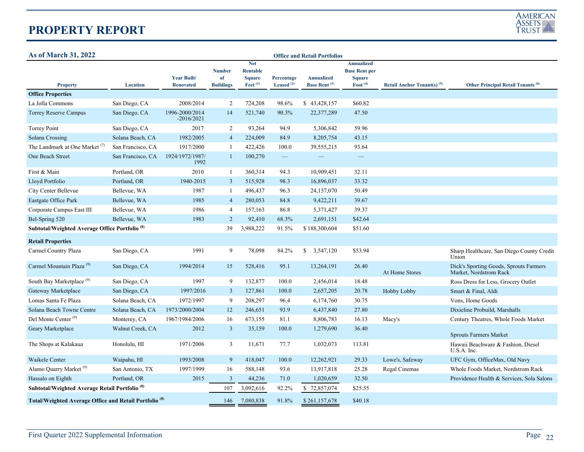### <span id="page-21-0"></span>**PROPERTY REPORT**



| <b>As of March 31, 2022</b>                                       |                   |                                        |                                         |                                                                            |                            | <b>Office and Retail Portfolios</b>                  |                                                                          |                                    |                                                                  |
|-------------------------------------------------------------------|-------------------|----------------------------------------|-----------------------------------------|----------------------------------------------------------------------------|----------------------------|------------------------------------------------------|--------------------------------------------------------------------------|------------------------------------|------------------------------------------------------------------|
| <b>Property</b>                                                   | Location          | <b>Year Built/</b><br><b>Renovated</b> | <b>Number</b><br>of<br><b>Buildings</b> | <b>Net</b><br><b>Rentable</b><br><b>Square</b><br>Feet $^{\left(1\right)}$ | Percentage<br>Leased $(2)$ | <b>Annualized</b><br><b>Base Rent</b> <sup>(3)</sup> | <b>Annualized</b><br><b>Base Rent per</b><br><b>Square</b><br>Foot $(4)$ | <b>Retail Anchor Tenant(s)</b> (5) | Other Principal Retail Tenants <sup>(6)</sup>                    |
| <b>Office Properties</b>                                          |                   |                                        |                                         |                                                                            |                            |                                                      |                                                                          |                                    |                                                                  |
| La Jolla Commons                                                  | San Diego, CA     | 2008/2014                              | 2                                       | 724,208                                                                    | 98.6%                      | \$43,428,157                                         | \$60.82                                                                  |                                    |                                                                  |
| <b>Torrey Reserve Campus</b>                                      | San Diego, CA     | 1996-2000/2014<br>$-2016/2021$         | 14                                      | 521,740                                                                    | 90.3%                      | 22,377,289                                           | 47.50                                                                    |                                    |                                                                  |
| <b>Torrey Point</b>                                               | San Diego, CA     | 2017                                   | 2                                       | 93,264                                                                     | 94.9                       | 5,306,842                                            | 59.96                                                                    |                                    |                                                                  |
| Solana Crossing                                                   | Solana Beach, CA  | 1982/2005                              | $\overline{4}$                          | 224,009                                                                    | 84.9                       | 8,205,754                                            | 43.15                                                                    |                                    |                                                                  |
| The Landmark at One Market <sup>(1)</sup>                         | San Francisco, CA | 1917/2000                              | $\overline{1}$                          | 422,426                                                                    | 100.0                      | 39,555,215                                           | 93.64                                                                    |                                    |                                                                  |
| One Beach Street                                                  | San Francisco, CA | 1924/1972/1987/<br>1992                | $\mathbf{1}$                            | 100,270                                                                    | $\qquad \qquad -$          |                                                      | $\overline{\phantom{0}}$                                                 |                                    |                                                                  |
| First & Main                                                      | Portland, OR      | 2010                                   | -1                                      | 360,314                                                                    | 94.3                       | 10,909,451                                           | 32.11                                                                    |                                    |                                                                  |
| Lloyd Portfolio                                                   | Portland, OR      | 1940-2015                              | 3                                       | 515,928                                                                    | 98.3                       | 16,896,037                                           | 33.32                                                                    |                                    |                                                                  |
| City Center Bellevue                                              | Bellevue, WA      | 1987                                   | 1                                       | 496,437                                                                    | 96.3                       | 24,137,070                                           | 50.49                                                                    |                                    |                                                                  |
| Eastgate Office Park                                              | Bellevue, WA      | 1985                                   | $\overline{4}$                          | 280,053                                                                    | 84.8                       | 9,422,211                                            | 39.67                                                                    |                                    |                                                                  |
| Corporate Campus East III                                         | Bellevue, WA      | 1986                                   | 4                                       | 157,163                                                                    | 86.8                       | 5,371,427                                            | 39.37                                                                    |                                    |                                                                  |
| Bel-Spring 520                                                    | Bellevue, WA      | 1983                                   | $\overline{2}$                          | 92,410                                                                     | 68.3%                      | 2,691,151                                            | \$42.64                                                                  |                                    |                                                                  |
| Subtotal/Weighted Average Office Portfolio <sup>(8)</sup>         |                   |                                        | 39                                      | 3,988,222                                                                  | 91.5%                      | \$188,300,604                                        | \$51.60                                                                  |                                    |                                                                  |
| <b>Retail Properties</b>                                          |                   |                                        |                                         |                                                                            |                            |                                                      |                                                                          |                                    |                                                                  |
| Carmel Country Plaza                                              | San Diego, CA     | 1991                                   | 9                                       | 78,098                                                                     | 84.2%                      | \$3,547,120                                          | \$53.94                                                                  |                                    | Sharp Healthcare, San Diego County Credit<br>Union               |
| Carmel Mountain Plaza <sup>(9)</sup>                              | San Diego, CA     | 1994/2014                              | 15                                      | 528,416                                                                    | 95.1                       | 13,264,191                                           | 26.40                                                                    | At Home Stores                     | Dick's Sporting Goods, Sprouts Farmers<br>Market, Nordstrom Rack |
| South Bay Marketplace <sup>(9)</sup>                              | San Diego, CA     | 1997                                   | 9                                       | 132,877                                                                    | 100.0                      | 2,456,014                                            | 18.48                                                                    |                                    | Ross Dress for Less, Grocery Outlet                              |
| Gateway Marketplace                                               | San Diego, CA     | 1997/2016                              | $\overline{\mathbf{3}}$                 | 127,861                                                                    | 100.0                      | 2,657,205                                            | 20.78                                                                    | <b>Hobby Lobby</b>                 | Smart & Final, Aldi                                              |
| Lomas Santa Fe Plaza                                              | Solana Beach, CA  | 1972/1997                              | 9                                       | 208,297                                                                    | 96.4                       | 6,174,760                                            | 30.75                                                                    |                                    | Vons, Home Goods                                                 |
| Solana Beach Towne Centre                                         | Solana Beach, CA  | 1973/2000/2004                         | 12                                      | 246,651                                                                    | 93.9                       | 6,437,840                                            | 27.80                                                                    |                                    | Dixieline Probuild, Marshalls                                    |
| Del Monte Center <sup>(9)</sup>                                   | Monterey, CA      | 1967/1984/2006                         | 16                                      | 673,155                                                                    | 81.1                       | 8,806,783                                            | 16.13                                                                    | Macy's                             | Century Theatres, Whole Foods Market                             |
| Geary Marketplace                                                 | Walnut Creek, CA  | 2012                                   | $\overline{\mathbf{3}}$                 | 35,159                                                                     | 100.0                      | 1,279,690                                            | 36.40                                                                    |                                    | <b>Sprouts Farmers Market</b>                                    |
| The Shops at Kalakaua                                             | Honolulu, HI      | 1971/2006                              | 3                                       | 11,671                                                                     | 77.7                       | 1,032,073                                            | 113.81                                                                   |                                    | Hawaii Beachware & Fashion, Diesel<br>U.S.A. Inc.                |
| Waikele Center                                                    | Waipahu, HI       | 1993/2008                              | 9                                       | 418,047                                                                    | 100.0                      | 12,262,921                                           | 29.33                                                                    | Lowe's, Safeway                    | UFC Gym, OfficeMax, Old Navy                                     |
| Alamo Quarry Market <sup>(9)</sup>                                | San Antonio, TX   | 1997/1999                              | 16                                      | 588,148                                                                    | 93.6                       | 13,917,818                                           | 25.28                                                                    | Regal Cinemas                      | Whole Foods Market, Nordstrom Rack                               |
| Hassalo on Eighth                                                 | Portland, OR      | 2015                                   | 3                                       | 44,236                                                                     | 71.0                       | 1,020,659                                            | 32.50                                                                    |                                    | Providence Health & Services, Sola Salons                        |
| Subtotal/Weighted Average Retail Portfolio <sup>(8)</sup>         |                   |                                        | 107                                     | 3,092,616                                                                  | 92.2%                      | \$72,857,074                                         | \$25.55                                                                  |                                    |                                                                  |
| Total/Weighted Average Office and Retail Portfolio <sup>(8)</sup> | 146               | 7,080,838                              | 91.8%                                   | \$261,157,678                                                              | \$40.18                    |                                                      |                                                                          |                                    |                                                                  |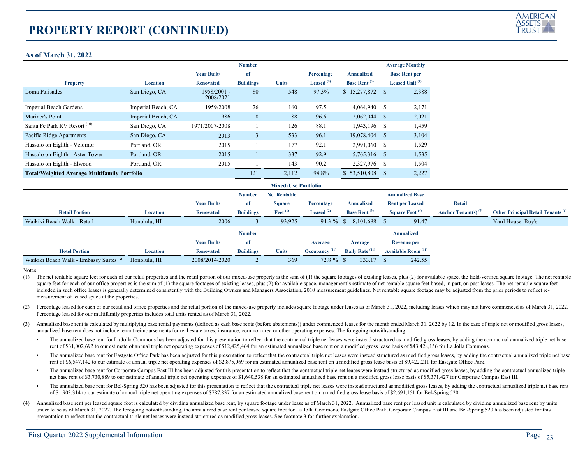

|                                                     |                    |                          |                  | <b>Average Monthly</b> |              |                                 |               |                            |
|-----------------------------------------------------|--------------------|--------------------------|------------------|------------------------|--------------|---------------------------------|---------------|----------------------------|
|                                                     |                    | Year Built/              | of               |                        | Percentage   | <b>Annualized</b>               |               | <b>Base Rent per</b>       |
| <b>Property</b>                                     | Location           | <b>Renovated</b>         | <b>Buildings</b> | <b>Units</b>           | Leased $(2)$ | <b>Base Rent</b> <sup>(3)</sup> |               | Leased Unit <sup>(4)</sup> |
| Loma Palisades                                      | San Diego, CA      | 1958/2001 -<br>2008/2021 | 80               | 548                    | 97.3%        | \$15,277,872                    |               | 2,388                      |
| <b>Imperial Beach Gardens</b>                       | Imperial Beach, CA | 1959/2008                | 26               | 160                    | 97.5         | 4.064.940                       | -S            | 2,171                      |
| Mariner's Point                                     | Imperial Beach, CA | 1986                     | 8                | 88                     | 96.6         | 2,062,044                       | <sup>\$</sup> | 2,021                      |
| Santa Fe Park RV Resort <sup>(10)</sup>             | San Diego, CA      | 1971/2007-2008           |                  | 126                    | 88.1         | 1,943,196                       | -S            | 1,459                      |
| Pacific Ridge Apartments                            | San Diego, CA      | 2013                     | 3                | 533                    | 96.1         | 19,078,404                      | -S            | 3,104                      |
| Hassalo on Eighth - Velomor                         | Portland, OR       | 2015                     |                  | 177                    | 92.1         | 2,991,060                       | -S            | 1,529                      |
| Hassalo on Eighth - Aster Tower                     | Portland, OR       | 2015                     |                  | 337                    | 92.9         | 5,765,316                       | -S            | 1,535                      |
| Hassalo on Eighth - Elwood                          | Portland, OR       | 2015                     |                  | 143                    | 90.2         | 2,327,976                       | -S            | 1,504                      |
| <b>Total/Weighted Average Multifamily Portfolio</b> |                    | 121                      | 2,112            | 94.8%                  | \$53,510,808 |                                 | 2,227         |                            |

|                                      |              |                  |                  | <b>Mixed-Use Portfolio</b> |                  |                                 |                                       |                                 |                                               |
|--------------------------------------|--------------|------------------|------------------|----------------------------|------------------|---------------------------------|---------------------------------------|---------------------------------|-----------------------------------------------|
|                                      |              |                  | <b>Number</b>    | <b>Net Rentable</b>        |                  |                                 | <b>Annualized Base</b>                |                                 |                                               |
|                                      |              | Year Built/      | of               | <b>Square</b>              | Percentage       | <b>Annualized</b>               | <b>Rent per Leased</b>                | <b>Retail</b>                   |                                               |
| <b>Retail Portion</b>                | Location     | <b>Renovated</b> | <b>Buildings</b> | Feet $(1)$                 | Leased $(2)$     | <b>Base Rent</b> <sup>(3)</sup> | Square Foot <sup>(4)</sup>            | Anchor Tenant(s) <sup>(5)</sup> | Other Principal Retail Tenants <sup>(6)</sup> |
| Waikiki Beach Walk - Retail          | Honolulu, HI | 2006             |                  | 93,925                     | 94.3 %           | 8,101,688 \$                    | 91.47                                 |                                 | Yard House, Roy's                             |
|                                      |              |                  | <b>Number</b>    |                            |                  |                                 | <b>Annualized</b>                     |                                 |                                               |
|                                      |              | Year Built/      | -of              |                            | Average          | Average                         | <b>Revenue per</b>                    |                                 |                                               |
| <b>Hotel Portion</b>                 | Location     | <b>Renovated</b> | <b>Buildings</b> | <b>Units</b>               | Occupancy $(11)$ | Daily Rate <sup>(11)</sup>      | <b>Available Room</b> <sup>(11)</sup> |                                 |                                               |
| Waikiki Beach Walk - Embassy Suites™ | Honolulu, HI | 2008/2014/2020   |                  | 369                        | $72.8 \%$ \$     | 333.17                          | 242.55                                |                                 |                                               |

#### Notes:

- (1) The net rentable square feet for each of our retail properties and the retail portion of our mixed-use property is the sum of (1) the square footages of existing leases, plus (2) for available space, the field-verified square feet for each of our office properties is the sum of (1) the square footages of existing leases, plus (2) for available space, management's estimate of net rentable square feet based, in part, on past leases. The ne included in such office leases is generally determined consistently with the Building Owners and Managers Association, 2010 measurement guidelines. Net rentable square footage may be adjusted from the prior periods to refl measurement of leased space at the properties.
- (2) Percentage leased for each of our retail and office properties and the retail portion of the mixed-use property includes square footage under leases as of March 31, 2022, including leases which may not have commenced a Percentage leased for our multifamily properties includes total units rented as of March 31, 2022.
- (3) Annualized base rent is calculated by multiplying base rental payments (defined as cash base rents (before abatements)) under commenced leases for the month ended March 31, 2022 by 12. In the case of triple net or modi annualized base rent does not include tenant reimbursements for real estate taxes, insurance, common area or other operating expenses. The foregoing notwithstanding:
	- The annualized base rent for La Jolla Commons has been adjusted for this presentation to reflect that the contractual triple net leases were instead structured as modified gross leases, by adding the contractual annualized rent of \$31,002,692 to our estimate of annual triple net operating expenses of \$12,425,464 for an estimated annualized base rent on a modified gross lease basis of \$43,428,156 for La Jolla Commons.
	- The annualized base rent for Eastgate Office Park has been adjusted for this presentation to reflect that the contractual triple net leases were instead structured as modified gross leases, by adding the contractual annual rent of \$6,547,142 to our estimate of annual triple net operating expenses of \$2,875,069 for an estimated annualized base rent on a modified gross lease basis of \$9,422,211 for Eastgate Office Park.
	- The annualized base rent for Corporate Campus East III has been adjusted for this presentation to reflect that the contractual triple net leases were instead structured as modified gross leases, by adding the contractual a net base rent of \$3,730,889 to our estimate of annual triple net operating expenses of \$1,640,538 for an estimated annualized base rent on a modified gross lease basis of \$5,371,427 for Corporate Campus East III.
	- The annualized base rent for Bel-Spring 520 has been adjusted for this presentation to reflect that the contractual triple net leases were instead structured as modified gross leases, by adding the contractual annualized t of \$1,903,314 to our estimate of annual triple net operating expenses of \$787,837 for an estimated annualized base rent on a modified gross lease basis of \$2,691,151 for Bel-Spring 520.
- (4) Annualized base rent per leased square foot is calculated by dividing annualized base rent, by square footage under lease as of March 31, 2022. Annualized base rent per leased unit is calculated by dividing annualized under lease as of March 31, 2022. The foregoing notwithstanding, the annualized base rent per leased square foot for La Jolla Commons, Eastgate Office Park, Corporate Campus East III and Bel-Spring 520 has been adjusted fo presentation to reflect that the contractual triple net leases were instead structured as modified gross leases. See footnote 3 for further explanation.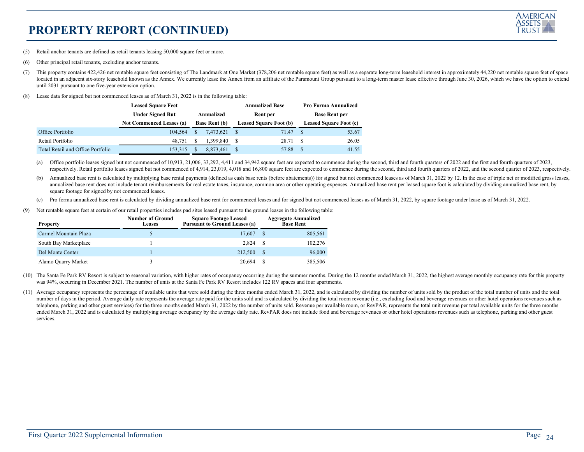

- (5) Retail anchor tenants are defined as retail tenants leasing 50,000 square feet or more.
- (6) Other principal retail tenants, excluding anchor tenants.
- (7) This property contains 422,426 net rentable square feet consisting of The Landmark at One Market (378,206 net rentable square feet) as well as a separate long-term leasehold interest in approximately 44,220 net rentabl located in an adjacent six-story leasehold known as the Annex. We currently lease the Annex from an affiliate of the Paramount Group pursuant to a long-term master lease effective through June 30, 2026, which we have the o until 2031 pursuant to one five-year extension option.
- (8) Lease data for signed but not commenced leases as of March 31, 2022 is in the following table:

|                                   | <b>Leased Square Feet</b>       |                      | <b>Annualized Base</b>        | <b>Pro Forma Annualized</b> |  |  |  |
|-----------------------------------|---------------------------------|----------------------|-------------------------------|-----------------------------|--|--|--|
|                                   | <b>Under Signed But</b>         | Annualized           | Rent per                      | <b>Base Rent per</b>        |  |  |  |
|                                   | <b>Not Commenced Leases (a)</b> | <b>Base Rent (b)</b> | <b>Leased Square Foot (b)</b> | Leased Square Foot (c)      |  |  |  |
| Office Portfolio                  | 104.564                         | 7.473.621            | 71.47                         | 53.67                       |  |  |  |
| Retail Portfolio                  | 48.751                          | 1.399.840            | 28.71                         | -S<br>26.05                 |  |  |  |
| Total Retail and Office Portfolio | 153.315                         | 8.873.461            | 57.88                         | 41.55                       |  |  |  |

(a) Office portfolio leases signed but not commenced of 10,913, 21,006, 33,292, 4,411 and 34,942 square feet are expected to commence during the second, third and fourth quarters of 2022 and the first and fourth quarters o respectively. Retail portfolio leases signed but not commenced of 4,914, 23,019, 4,018 and 16,800 square feet are expected to commence during the second, third and fourth quarters of 2022, and the second quarter of 2023, r

(b) Annualized base rent is calculated by multiplying base rental payments (defined as cash base rents (before abatements)) for signed but not commenced leases as of March 31, 2022 by 12. In the case of triple net or modif annualized base rent does not include tenant reimbursements for real estate taxes, insurance, common area or other operating expenses. Annualized base rent per leased square foot is calculated by dividing annualized base r square footage for signed by not commenced leases.

(c) Pro forma annualized base rent is calculated by dividing annualized base rent for commenced leases and for signed but not commenced leases as of March 31, 2022, by square footage under lease as of March 31, 2022.

(9) Net rentable square feet at certain of our retail properties includes pad sites leased pursuant to the ground leases in the following table:

| <b>Property</b>       | <b>Number of Ground</b><br><b>Leases</b> | <b>Square Footage Leased</b><br><b>Pursuant to Ground Leases (a)</b> | <b>Aggregate Annualized</b><br><b>Base Rent</b> |
|-----------------------|------------------------------------------|----------------------------------------------------------------------|-------------------------------------------------|
| Carmel Mountain Plaza |                                          | 17.607                                                               | 805,561                                         |
| South Bay Marketplace |                                          | 2.824                                                                | 102.276                                         |
| Del Monte Center      |                                          | 212,500                                                              | 96,000                                          |
| Alamo Quarry Market   |                                          | 20.694                                                               | 385,506                                         |

- (10) The Santa Fe Park RV Resort is subject to seasonal variation, with higher rates of occupancy occurring during the summer months. During the 12 months ended March 31, 2022, the highest average monthly occupancy rate fo was 94%, occurring in December 2021. The number of units at the Santa Fe Park RV Resort includes 122 RV spaces and four apartments.
- (11) Average occupancy represents the percentage of available units that were sold during the three months ended March 31, 2022, and is calculated by dividing the number of units sold by the product of the total number of number of days in the period. Average daily rate represents the average rate paid for the units sold and is calculated by dividing the total room revenue (i.e., excluding food and beverage revenues or other hotel operation telephone, parking and other guest services) for the three months ended March 31, 2022 by the number of units sold. Revenue per available room, or RevPAR, represents the total unit revenue per total available units for the ended March 31, 2022 and is calculated by multiplying average occupancy by the average daily rate. RevPAR does not include food and beverage revenues or other hotel operations revenues such as telephone, parking and other services.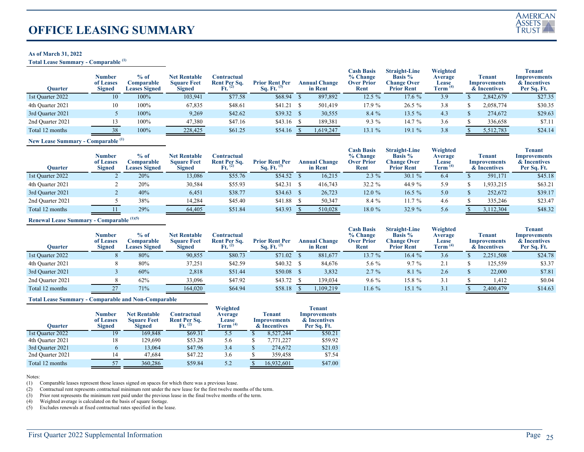### <span id="page-24-0"></span>**OFFICE LEASING SUMMARY**



#### **As of March 31, 2022**

**Total Lease Summary - Comparable (1)**

| <b>Quarter</b>   | Number<br>of Leases<br><b>Signed</b> | $%$ of<br>Comparable<br><b>Leases Signed</b> | <b>Net Rentable</b><br><b>Square Feet</b><br><b>Signed</b> | C <b>ontractual</b><br>Rent Per Sq.<br>Ft. $^{(2)}$ | <b>Prior Rent Per</b><br>Sq. Ft. $^{(3)}$ | <b>Annual Change</b><br>in Rent | <b>Cash Basis</b><br>% Change<br><b>Over Prior</b><br>Rent | <b>Straight-Line</b><br><b>Basis</b> %<br><b>Change Over</b><br><b>Prior Rent</b> | Weighted<br>Average<br>Lease<br>Term <sup>(4)</sup> | Tenant<br><b>Improvements</b><br>& Incentives | <b>Tenant</b><br><b>Improvements</b><br>& Incentives<br>Per Sq. Ft. |
|------------------|--------------------------------------|----------------------------------------------|------------------------------------------------------------|-----------------------------------------------------|-------------------------------------------|---------------------------------|------------------------------------------------------------|-----------------------------------------------------------------------------------|-----------------------------------------------------|-----------------------------------------------|---------------------------------------------------------------------|
| 1st Ouarter 2022 | 10                                   | $100\%$                                      | 103,941                                                    | \$77.58                                             | $$68.94$ \ \$                             | 897,892                         | 12.5%                                                      | $17.6\%$                                                                          | 3.9                                                 | 2,842,679                                     | \$27.35                                                             |
| 4th Ouarter 2021 | 10                                   | 100%                                         | 67,835                                                     | \$48.61                                             | $$41.21$ \ \$                             | 501,419                         | 17.9 %                                                     | $26.5 \%$                                                                         | 3.8                                                 | 2,058,774                                     | \$30.35                                                             |
| 3rd Quarter 2021 |                                      | 100%                                         | 9,269                                                      | \$42.62                                             | $$39.32$ \$                               | 30,555                          | 8.4 %                                                      | 13.5 %                                                                            | 4.3                                                 | 274,672                                       | \$29.63                                                             |
| 2nd Ouarter 2021 |                                      | 100%                                         | 47,380                                                     | \$47.16                                             | $$43.16$ \ \$                             | 189,381                         | $9.3\%$                                                    | 14.7 %                                                                            | 3.6                                                 | 336,658                                       | \$7.11                                                              |
| Total 12 months  | 38                                   | 100%                                         | 228,425                                                    | \$61.25                                             | \$54.16                                   | 1,619,247                       | 13.1%                                                      | 19.1%                                                                             | 3.8                                                 | 5,512,783                                     | \$24.14                                                             |

#### **New Lease Summary - Comparable (1)**

| <b>Ouarter</b>   | Number<br>of Leases<br><b>Signed</b> | $%$ of<br><b>Comparable</b><br><b>Leases Signed</b> | <b>Net Rentable</b><br><b>Square Feet</b><br>Signed | <b>Contractual</b><br><b>Rent Per Sq.</b><br>Ft. (2) | <b>Prior Rent Per</b><br>Sq. Ft. $(3)$ | <b>Annual Change</b><br>in Rent |         | <b>Cash Basis</b><br>% Change<br><b>Over Prior</b><br>Rent | <b>Straight-Line</b><br><b>Basis</b> %<br>Change Over<br><b>Prior Rent</b> | Weighted<br>Average<br>Lease<br>Term $(4)$ | Tenant<br>Improvements<br>& Incentives | <b>Tenant</b><br><b>Improvements</b><br>& Incentives<br>Per Sq. Ft. |
|------------------|--------------------------------------|-----------------------------------------------------|-----------------------------------------------------|------------------------------------------------------|----------------------------------------|---------------------------------|---------|------------------------------------------------------------|----------------------------------------------------------------------------|--------------------------------------------|----------------------------------------|---------------------------------------------------------------------|
| 1st Quarter 2022 |                                      | 20%                                                 | 13,086                                              | \$55.76                                              | \$54.52                                |                                 | 16,215  | $2.3\%$                                                    | 30.1%                                                                      | 6.4                                        | 591,171                                | \$45.18                                                             |
| 4th Ouarter 2021 |                                      | 20%                                                 | 30,584                                              | \$55.93                                              | \$42.31                                |                                 | 416,743 | 32.2 %                                                     | 44.9 %                                                                     | 5.9                                        | .933,215                               | \$63.21                                                             |
| 3rd Ouarter 2021 |                                      | 40%                                                 | 6,451                                               | \$38.77                                              | \$34.63                                |                                 | 26,723  | $12.0 \%$                                                  | $16.5 \%$                                                                  | 5.0                                        | 252,672                                | \$39.17                                                             |
| 2nd Ouarter 2021 |                                      | 38%                                                 | 14.284                                              | \$45.40                                              | \$41.88                                |                                 | 50,347  | 8.4 %                                                      | 11.7 %                                                                     | 4.6                                        | 335,246                                | \$23.47                                                             |
| Total 12 months  |                                      | 29%                                                 | 64,405                                              | \$51.84                                              | \$43.93                                |                                 | 510,028 | 18.0 %                                                     | 32.9 %                                                                     | 5.6                                        | 3,112,304                              | \$48.32                                                             |

**Renewal Lease Summary - Comparable (1)(5)**

| <b>Ouarter</b>   | <b>Number</b><br>of Leases<br><b>Signed</b> | $%$ of<br><b>Comparable</b><br><b>Leases Signed</b> | <b>Net Rentable</b><br><b>Square Feet</b><br>Signed | <b>Contractual</b><br>Rent Per Sq.<br>Ft. (2) | <b>Prior Rent Per</b><br>Sq. Ft. $(3)$ | <b>Annual Change</b><br>in Rent |           | <b>Cash Basis</b><br>$% Change$<br><b>Over Prior</b><br>Rent | <b>Straight-Line</b><br><b>Basis</b> %<br><b>Change Over</b><br><b>Prior Rent</b> | Weighted<br>Average<br>Lease<br>Term $(4)$ | Tenant<br><b>Improvements</b><br>& Incentives | <b>Tenant</b><br><b>Improvements</b><br>& Incentives<br>Per Sq. Ft. |
|------------------|---------------------------------------------|-----------------------------------------------------|-----------------------------------------------------|-----------------------------------------------|----------------------------------------|---------------------------------|-----------|--------------------------------------------------------------|-----------------------------------------------------------------------------------|--------------------------------------------|-----------------------------------------------|---------------------------------------------------------------------|
| 1st Quarter 2022 |                                             | 80%                                                 | 90,855                                              | \$80.73                                       | \$71.02                                |                                 | 881,677   | 13.7 %                                                       | $16.4 \%$                                                                         | 3.6                                        | 2,251,508                                     | \$24.78                                                             |
| 4th Quarter 2021 |                                             | 80%                                                 | 37,251                                              | \$42.59                                       | $$40.32$ \ \$                          |                                 | 84,676    | 5.6 %                                                        | $9.7\%$                                                                           |                                            | 125,559                                       | \$3.37                                                              |
| 3rd Ouarter 2021 |                                             | 60%                                                 | 2,818                                               | \$51.44                                       | \$50.08                                |                                 | 3,832     | $2.7\%$                                                      | $8.1\%$                                                                           | 2.6                                        | 22,000                                        | \$7.81                                                              |
| 2nd Ouarter 2021 |                                             | 62%                                                 | 33,096                                              | \$47.92                                       | $$43.72$ \;                            |                                 | 139,034   | $9.6\%$                                                      | 15.8 %                                                                            |                                            | l.412                                         | \$0.04                                                              |
| Total 12 months  |                                             | 71%                                                 | 164,020                                             | \$64.94                                       | \$58.18                                |                                 | 1,109,219 | 11.6 %                                                       | 15.1%                                                                             | .                                          | 2,400,479                                     | \$14.63                                                             |

**Total Lease Summary - Comparable and Non-Comparable**

| <b>Ouarter</b>   | <b>Number</b><br>of Leases<br><b>Signed</b> | <b>Net Rentable</b><br><b>Square Feet</b><br><b>Signed</b> | Contractual<br><b>Rent Per Sq.</b><br>$Ft.$ <sup>(2)</sup> | Weighted<br>Average<br><b>Lease</b><br>Term $(4)$ | <b>Tenant</b><br><b>Improvements</b><br>& Incentives | <b>Tenant</b><br><b>Improvements</b><br>& Incentives<br>Per Sq. Ft. |
|------------------|---------------------------------------------|------------------------------------------------------------|------------------------------------------------------------|---------------------------------------------------|------------------------------------------------------|---------------------------------------------------------------------|
| 1st Ouarter 2022 |                                             | 169.848                                                    | \$69.31                                                    | 5.5                                               | 8,527,244                                            | \$50.21                                                             |
| 4th Ouarter 2021 | 18                                          | 129.690                                                    | \$53.28                                                    | 5.6                                               | \$<br>7,771,227                                      | \$59.92                                                             |
| 3rd Quarter 2021 | 6                                           | 13,064                                                     | \$47.96                                                    | 3.4                                               | \$<br>274,672                                        | \$21.03                                                             |
| 2nd Quarter 2021 | 14                                          | 47.684                                                     | \$47.22                                                    | 3.6                                               | 359.458                                              | \$7.54                                                              |
| Total 12 months  | 57                                          | 360,286                                                    | \$59.84                                                    | 5.2                                               | 16,932,601                                           | \$47.00                                                             |

Notes:

(1) Comparable leases represent those leases signed on spaces for which there was a previous lease.

(2) Contractual rent represents contractual minimum rent under the new lease for the first twelve months of the term.

Prior rent represents the minimum rent paid under the previous lease in the final twelve months of the term.

(4) Weighted average is calculated on the basis of square footage.

(5) Excludes renewals at fixed contractual rates specified in the lease.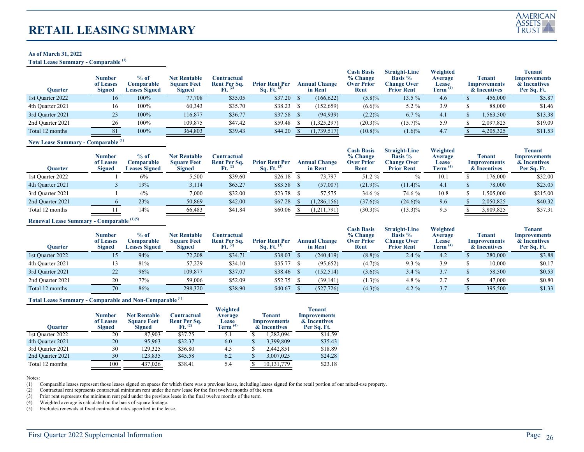### <span id="page-25-0"></span>**RETAIL LEASING SUMMARY**



#### **As of March 31, 2022**

**Total Lease Summary - Comparable (1)**

| <b>Ouarter</b>   | <b>Number</b><br>of Leases<br><b>Signed</b> | $%$ of<br>Comparable<br><b>Leases Signed</b> | <b>Net Rentable</b><br><b>Square Feet</b><br>Signed | <b>Contractual</b><br><b>Rent Per Sq.</b><br>Ft. $^{(2)}$ | <b>Prior Rent Per</b><br>Sq. Ft. $(3)$ | <b>Annual Change</b><br>in Rent | <b>Cash Basis</b><br>$% Change$<br><b>Over Prior</b><br>Rent | <b>Straight-Line</b><br><b>Basis</b> %<br><b>Change Over</b><br><b>Prior Rent</b> | Weighted<br>Average<br>Lease<br>Term (4) | <b>Tenant</b><br>Improvements<br>& Incentives | <b>Tenant</b><br><b>Improvements</b><br>& Incentives<br>Per Sq. Ft. |
|------------------|---------------------------------------------|----------------------------------------------|-----------------------------------------------------|-----------------------------------------------------------|----------------------------------------|---------------------------------|--------------------------------------------------------------|-----------------------------------------------------------------------------------|------------------------------------------|-----------------------------------------------|---------------------------------------------------------------------|
| 1st Quarter 2022 | 16                                          | 100%                                         | 77,708                                              | \$35.05                                                   | \$37.20                                | (166, 622)                      | (5.8)%                                                       | $13.5 \%$                                                                         | 4.6                                      | 456,000                                       | \$5.87                                                              |
| 4th Ouarter 2021 | 16                                          | 100%                                         | 60,343                                              | \$35.70                                                   | \$38.23                                | (152, 659)                      | $(6.6)\%$                                                    | $5.2 \%$                                                                          | 3.9                                      | 88,000                                        | \$1.46                                                              |
| 3rd Ouarter 2021 | 23                                          | 100%                                         | 116,877                                             | \$36.77                                                   | $$37.58$ \ \$                          | (94, 939)                       | (2.2)%                                                       | $6.7 \%$                                                                          | 4.1                                      | .563,500                                      | \$13.38                                                             |
| 2nd Ouarter 2021 | 26                                          | 100%                                         | 109,875                                             | \$47.42                                                   | \$59.48                                | 1,325,297                       | $(20.3)\%$                                                   | $(15.7)\%$                                                                        | 5.9                                      | 2,097,825                                     | \$19.09                                                             |
| Total 12 months  |                                             | 100%                                         | 364,803                                             | \$39.43                                                   | \$44.20                                | (1,739,517)                     | $(10.8)\%$                                                   | $(1.6)\%$                                                                         | 4.7                                      | 4,205,325                                     | \$11.53                                                             |

#### **New Lease Summary - Comparable (1)**

| <b>Ouarter</b>   | Number<br>of Leases<br><b>Signed</b> | $%$ of<br><b>Comparable</b><br><b>Leases Signed</b> | <b>Net Rentable</b><br><b>Square Feet</b><br>Signed | <b>Contractual</b><br><b>Rent Per Sq.</b><br>Ft. (2) | <b>Prior Rent Per</b><br>Sq. Ft. $(3)$ | Annual Change<br>in Rent | <b>Cash Basis</b><br>$%$ Change<br><b>Over Prior</b><br>Rent | <b>Straight-Line</b><br><b>Basis</b> %<br>Change Over<br><b>Prior Rent</b> | Weighted<br>Average<br>Lease<br>Term <sup>(4)</sup> | Tenant<br><b>Improvements</b><br>& Incentives | <b>Tenant</b><br><b>Improvements</b><br>& Incentives<br>Per Sq. Ft. |
|------------------|--------------------------------------|-----------------------------------------------------|-----------------------------------------------------|------------------------------------------------------|----------------------------------------|--------------------------|--------------------------------------------------------------|----------------------------------------------------------------------------|-----------------------------------------------------|-----------------------------------------------|---------------------------------------------------------------------|
| 1st Ouarter 2022 |                                      | 6%                                                  | 5,500                                               | \$39.60                                              | \$26.18                                | 73,797                   | 51.2 %                                                       | $-$ %                                                                      |                                                     | 176,000                                       | \$32.00                                                             |
| 4th Quarter 2021 |                                      | 19%                                                 | 3,114                                               | \$65.27                                              | \$83.58                                | (57,007)                 | $(21.9)\%$                                                   | $(11.4)\%$                                                                 | 4.1                                                 | 78,000                                        | \$25.05                                                             |
| 3rd Ouarter 2021 |                                      | 4%                                                  | 7,000                                               | \$32.00                                              | \$23.78                                | 57,575                   | 34.6 %                                                       | 74.6 %                                                                     | 10.8                                                | ,505,000                                      | \$215.00                                                            |
| 2nd Quarter 2021 |                                      | 23%                                                 | 50,869                                              | \$42.00                                              | \$67.28                                | 1,286,156)               | $(37.6)\%$                                                   | $(24.6)\%$                                                                 | 9.6                                                 | 2,050,825                                     | \$40.32                                                             |
| Total 12 months  |                                      | 14%                                                 | 66,483                                              | \$41.84                                              | \$60.06                                | 1,211,791)               | $(30.3)\%$                                                   | $(13.3)\%$                                                                 | 9.5                                                 | 3,809,825                                     | \$57.31                                                             |

**Renewal Lease Summary - Comparable (1)(5)**

| <b>Ouarter</b>   | <b>Number</b><br>of Leases<br><b>Signed</b> | $%$ of<br><b>Comparable</b><br><b>Leases Signed</b> | <b>Net Rentable</b><br><b>Square Feet</b><br>Signed | <b>Contractual</b><br><b>Rent Per Sq.</b><br>Ft. $(2)$ | <b>Prior Rent Per</b><br>Sq. Ft. $(3)$ | <b>Annual Change</b><br>in Rent | <b>Cash Basis</b><br>$% Change$<br><b>Over Prior</b><br>Rent | <b>Straight-Line</b><br><b>Basis</b> %<br><b>Change Over</b><br><b>Prior Rent</b> | Weighted<br>Average<br>Lease<br>Term $(4)$ | <b>Tenant</b><br><b>Improvements</b><br>& Incentives | <b>Tenant</b><br>Improvements<br>& Incentives<br>Per Sq. Ft. |
|------------------|---------------------------------------------|-----------------------------------------------------|-----------------------------------------------------|--------------------------------------------------------|----------------------------------------|---------------------------------|--------------------------------------------------------------|-----------------------------------------------------------------------------------|--------------------------------------------|------------------------------------------------------|--------------------------------------------------------------|
| 1st Quarter 2022 | 15                                          | 94%                                                 | 72,208                                              | \$34.71                                                | \$38.03                                | (240, 419)                      | $(8.8)\%$                                                    | $2.4\%$                                                                           | 4.2                                        | 280,000                                              | \$3.88                                                       |
| 4th Ouarter 2021 | 13                                          | 81%                                                 | 57,229                                              | \$34.10                                                | $$35.77$ \ \$                          | (95, 652)                       | (4.7)%                                                       | $9.3\%$                                                                           | 3.9                                        | 10,000                                               | \$0.17                                                       |
| 3rd Ouarter 2021 | 22                                          | 96%                                                 | 109,877                                             | \$37.07                                                | \$38.46                                | (152, 514)                      | $(3.6)\%$                                                    | $3.4\%$                                                                           |                                            | 58,500                                               | \$0.53                                                       |
| 2nd Quarter 2021 | 20                                          | 77%                                                 | 59,006                                              | \$52.09                                                | $$52.75$ \;                            | (39, 141)                       | $(1.3)\%$                                                    | 4.8 %                                                                             |                                            | 47,000                                               | \$0.80                                                       |
| Total 12 months  | 70                                          | 86%                                                 | 298,320                                             | \$38.90                                                | \$40.67                                | (527, 726)                      | $(4.3)\%$                                                    | $4.2\%$                                                                           |                                            | 395,500                                              | \$1.33                                                       |

**Total Lease Summary - Comparable and Non-Comparable (1)**

| <b>Ouarter</b>   | <b>Number</b><br>of Leases<br><b>Signed</b> | <b>Net Rentable</b><br><b>Square Feet</b><br><b>Signed</b> | <b>Contractual</b><br>Rent Per Sq.<br>$Ft.$ <sup>(2)</sup> | Weighted<br>Average<br><b>Lease</b><br>Term $(4)$ |    | <b>Tenant</b><br><b>Improvements</b><br>& Incentives | <b>Tenant</b><br><b>Improvements</b><br>& Incentives<br>Per Sq. Ft. |
|------------------|---------------------------------------------|------------------------------------------------------------|------------------------------------------------------------|---------------------------------------------------|----|------------------------------------------------------|---------------------------------------------------------------------|
| 1st Ouarter 2022 | 20                                          | 87.903                                                     | \$37.25                                                    |                                                   |    | 1.282.094                                            | \$14.59                                                             |
| 4th Quarter 2021 | 20                                          | 95.963                                                     | \$32.37                                                    | 6.0                                               | \$ | 3,399,809                                            | \$35.43                                                             |
| 3rd Ouarter 2021 | 30                                          | 129.325                                                    | \$36.80                                                    | 4.5                                               | S  | 2,442,851                                            | \$18.89                                                             |
| 2nd Ouarter 2021 | 30                                          | 123.835                                                    | \$45.58                                                    | 6.2                                               |    | 3,007,025                                            | \$24.28                                                             |
| Total 12 months  | 100                                         | 437.026                                                    | \$38.41                                                    | 5.4                                               |    | 10,131,779                                           | \$23.18                                                             |

#### Notes:

(1) Comparable leases represent those leases signed on spaces for which there was a previous lease, including leases signed for the retail portion of our mixed-use property.

(2) Contractual rent represents contractual minimum rent under the new lease for the first twelve months of the term.

Prior rent represents the minimum rent paid under the previous lease in the final twelve months of the term.

(4) Weighted average is calculated on the basis of square footage.

(5) Excludes renewals at fixed contractual rates specified in the lease.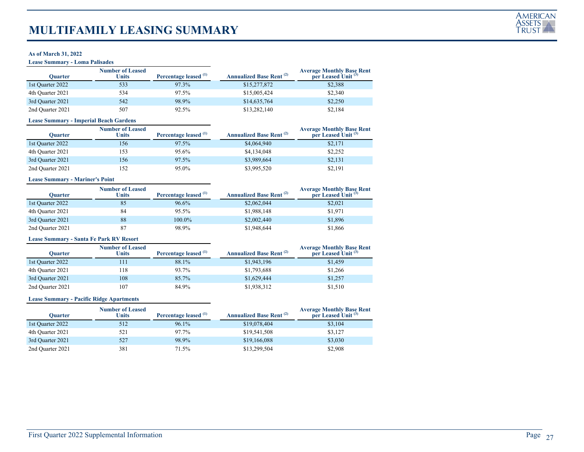

#### <span id="page-26-0"></span>**Lease Summary - Loma Palisades**

| <b>Ouarter</b>   | <b>Number of Leased</b><br>Units | Percentage leased <sup>(1)</sup> | <b>Annualized Base Rent (2)</b> | <b>Average Monthly Base Rent</b><br>per Leased Unit <sup>(3)</sup> |
|------------------|----------------------------------|----------------------------------|---------------------------------|--------------------------------------------------------------------|
| 1st Ouarter 2022 | 533                              | 97.3%                            | \$15,277,872                    | \$2,388                                                            |
| 4th Quarter 2021 | 534                              | 97.5%                            | \$15,005,424                    | \$2,340                                                            |
| 3rd Ouarter 2021 | 542                              | 98.9%                            | \$14,635,764                    | \$2,250                                                            |
| 2nd Ouarter 2021 | 507                              | 92.5%                            | \$13,282,140                    | \$2,184                                                            |

#### **Lease Summary - Imperial Beach Gardens**

| <b>Ouarter</b>   | <b>Number of Leased</b><br>Units | Percentage leased <sup>(1)</sup> | <b>Annualized Base Rent (2)</b> | <b>Average Monthly Base Rent</b><br>per Leased Unit <sup>(3)</sup> |
|------------------|----------------------------------|----------------------------------|---------------------------------|--------------------------------------------------------------------|
| 1st Ouarter 2022 | 156                              | 97.5%                            | \$4,064,940                     | \$2,171                                                            |
| 4th Ouarter 2021 | 153                              | 95.6%                            | \$4,134,048                     | \$2,252                                                            |
| 3rd Ouarter 2021 | 156                              | 97.5%                            | \$3,989,664                     | \$2,131                                                            |
| 2nd Quarter 2021 | 152                              | 95.0%                            | \$3,995,520                     | \$2,191                                                            |

#### **Lease Summary - Mariner's Point**

| <b>Ouarter</b>   | <b>Number of Leased</b><br>Units | Percentage leased <sup>(1)</sup> | <b>Annualized Base Rent (2)</b> | <b>Average Monthly Base Rent</b><br>per Leased Unit <sup>(3)</sup> |
|------------------|----------------------------------|----------------------------------|---------------------------------|--------------------------------------------------------------------|
| 1st Quarter 2022 | 85                               | $96.6\%$                         | \$2,062,044                     | \$2,021                                                            |
| 4th Ouarter 2021 | 84                               | 95.5%                            | \$1,988,148                     | \$1,971                                                            |
| 3rd Ouarter 2021 | 88                               | 100.0%                           | \$2,002,440                     | \$1,896                                                            |
| 2nd Ouarter 2021 |                                  | 98.9%                            | \$1,948,644                     | \$1,866                                                            |

#### **Lease Summary - Santa Fe Park RV Resort**

| <b>Ouarter</b>   | <b>Number of Leased</b><br>Units | Percentage leased <sup>(1)</sup> | <b>Annualized Base Rent (2)</b> | <b>Average Monthly Base Rent</b><br>per Leased Unit <sup>(3)</sup> |
|------------------|----------------------------------|----------------------------------|---------------------------------|--------------------------------------------------------------------|
| 1st Ouarter 2022 | 111                              | 88.1%                            | \$1,943,196                     | \$1,459                                                            |
| 4th Ouarter 2021 | ' 18                             | 93.7%                            | \$1,793,688                     | \$1,266                                                            |
| 3rd Ouarter 2021 | 108                              | 85.7%                            | \$1,629,444                     | \$1,257                                                            |
| 2nd Ouarter 2021 | 107                              | 84.9%                            | \$1,938,312                     | \$1,510                                                            |

#### **Lease Summary - Pacific Ridge Apartments**

| <b>Ouarter</b>   | <b>Number of Leased</b><br>Units | Percentage leased <sup>(1)</sup> | <b>Annualized Base Rent (2)</b> | <b>Average Monthly Base Rent</b><br>per Leased Unit <sup>(3)</sup> |
|------------------|----------------------------------|----------------------------------|---------------------------------|--------------------------------------------------------------------|
| 1st Ouarter 2022 | 512                              | 96.1%                            | \$19,078,404                    | \$3,104                                                            |
| 4th Quarter 2021 | 521                              | 97.7%                            | \$19.541.508                    | \$3,127                                                            |
| 3rd Ouarter 2021 | 527                              | 98.9%                            | \$19,166,088                    | \$3,030                                                            |
| 2nd Ouarter 2021 | 381                              | 71.5%                            | \$13,299,504                    | \$2,908                                                            |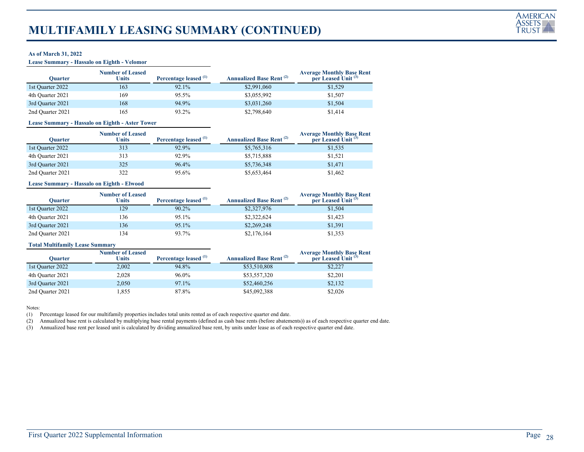

#### **Lease Summary - Hassalo on Eighth - Velomor**

| <b>Ouarter</b>   | <b>Number of Leased</b><br>Units | Percentage leased <sup>(1)</sup> | <b>Annualized Base Rent (2)</b> | <b>Average Monthly Base Rent</b><br>per Leased Unit <sup>(3)</sup> |
|------------------|----------------------------------|----------------------------------|---------------------------------|--------------------------------------------------------------------|
| 1st Ouarter 2022 | 163                              | 92.1%                            | \$2,991,060                     | \$1,529                                                            |
| 4th Quarter 2021 | 169                              | 95.5%                            | \$3,055,992                     | \$1,507                                                            |
| 3rd Ouarter 2021 | 168                              | 94.9%                            | \$3,031,260                     | \$1,504                                                            |
| 2nd Quarter 2021 | 165                              | 93.2%                            | \$2,798,640                     | \$1,414                                                            |

#### **Lease Summary - Hassalo on Eighth - Aster Tower**

| <b>Ouarter</b>   | <b>Number of Leased</b><br>Units | Percentage leased <sup>(1)</sup> | <b>Annualized Base Rent (2)</b> | <b>Average Monthly Base Rent</b><br>per Leased Unit <sup>(3)</sup> |
|------------------|----------------------------------|----------------------------------|---------------------------------|--------------------------------------------------------------------|
| 1st Ouarter 2022 | 313                              | 92.9%                            | \$5,765,316                     | \$1,535                                                            |
| 4th Quarter 2021 | 313                              | 92.9%                            | \$5,715,888                     | \$1,521                                                            |
| 3rd Ouarter 2021 | 325                              | 96.4%                            | \$5,736,348                     | \$1,471                                                            |
| 2nd Quarter 2021 | 322                              | 95.6%                            | \$5,653,464                     | \$1,462                                                            |

#### **Lease Summary - Hassalo on Eighth - Elwood**

| Ouarter          | <b>Number of Leased</b><br>Units | Percentage leased <sup>(1)</sup> | <b>Annualized Base Rent (2)</b> | <b>Average Monthly Base Rent</b><br>per Leased Unit <sup>(3)</sup> |
|------------------|----------------------------------|----------------------------------|---------------------------------|--------------------------------------------------------------------|
| 1st Ouarter 2022 | 129                              | 90.2%                            | \$2,327,976                     | \$1,504                                                            |
| 4th Ouarter 2021 | 136                              | 95.1%                            | \$2,322,624                     | \$1,423                                                            |
| 3rd Ouarter 2021 | 136                              | 95.1%                            | \$2,269,248                     | \$1,391                                                            |
| 2nd Ouarter 2021 | $\overline{34}$                  | 93.7%                            | \$2,176,164                     | \$1,353                                                            |

#### **Total Multifamily Lease Summary**

| Ouarter          | <b>Number of Leased</b><br>Units | Percentage leased <sup>(1)</sup> | <b>Annualized Base Rent (2)</b> | <b>Average Monthly Base Rent</b><br>per Leased Unit $(3)$ |
|------------------|----------------------------------|----------------------------------|---------------------------------|-----------------------------------------------------------|
| 1st Ouarter 2022 | 2,002                            | 94.8%                            | \$53,510,808                    | \$2,227                                                   |
| 4th Quarter 2021 | 2,028                            | 96.0%                            | \$53,557,320                    | \$2,201                                                   |
| 3rd Quarter 2021 | 2,050                            | 97.1%                            | \$52,460,256                    | \$2,132                                                   |
| 2nd Quarter 2021 | 1,855                            | 87.8%                            | \$45,092,388                    | \$2,026                                                   |

Notes:

(1) Percentage leased for our multifamily properties includes total units rented as of each respective quarter end date.

(2) Annualized base rent is calculated by multiplying base rental payments (defined as cash base rents (before abatements)) as of each respective quarter end date.

(3) Annualized base rent per leased unit is calculated by dividing annualized base rent, by units under lease as of each respective quarter end date.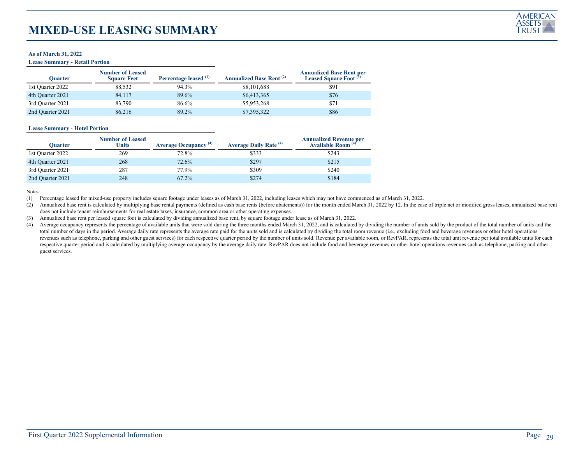

#### <span id="page-28-0"></span>**Lease Summary - Retail Portion**

| Ouarter          | <b>Number of Leased</b><br><b>Square Feet</b> | Percentage leased <sup>(1)</sup> | <b>Annualized Base Rent (2)</b> | <b>Annualized Base Rent per</b><br>Leased Square Foot <sup>(3)</sup> |
|------------------|-----------------------------------------------|----------------------------------|---------------------------------|----------------------------------------------------------------------|
| 1st Ouarter 2022 | 88,532                                        | 94.3%                            | \$8,101,688                     | \$91                                                                 |
| 4th Quarter 2021 | 84,117                                        | 89.6%                            | \$6,413,365                     | \$76                                                                 |
| 3rd Quarter 2021 | 83.790                                        | 86.6%                            | \$5,953,268                     | \$71                                                                 |
| 2nd Ouarter 2021 | 86,216                                        | 89.2%                            | \$7,395,322                     | \$86                                                                 |

#### **Lease Summary - Hotel Portion**

| Ouarter          | <b>Number of Leased</b><br>Units | <b>Average Occupancy</b> <sup>(4)</sup> | <b>Average Daily Rate</b> <sup>(4)</sup> | <b>Annualized Revenue per</b><br><b>Available Room</b> (4) <sup>T</sup> |
|------------------|----------------------------------|-----------------------------------------|------------------------------------------|-------------------------------------------------------------------------|
| 1st Ouarter 2022 | 269                              | 72.8%                                   | \$333                                    | \$243                                                                   |
| 4th Quarter 2021 | 268                              | 72.6%                                   | \$297                                    | \$215                                                                   |
| 3rd Ouarter 2021 | 287                              | 77.9%                                   | \$309                                    | \$240                                                                   |
| 2nd Ouarter 2021 | 248                              | $67.2\%$                                | \$274                                    | \$184                                                                   |

Notes:

(1) Percentage leased for mixed-use property includes square footage under leases as of March 31, 2022, including leases which may not have commenced as of March 31, 2022.

(2) Annualized base rent is calculated by multiplying base rental payments (defined as cash base rents (before abatements)) for the month ended March 31, 2022 by 12. In the case of triple net or modified gross leases, annu does not include tenant reimbursements for real estate taxes, insurance, common area or other operating expenses.

(3) Annualized base rent per leased square foot is calculated by dividing annualized base rent, by square footage under lease as of March 31, 2022.

(4) Average occupancy represents the percentage of available units that were sold during the three months ended March 31, 2022, and is calculated by dividing the number of units sold by the product of the total number of u total number of days in the period. Average daily rate represents the average rate paid for the units sold and is calculated by dividing the total room revenue (i.e., excluding food and beverage revenues or other hotel ope revenues such as telephone, parking and other guest services) for each respective quarter period by the number of units sold. Revenue per available room, or RevPAR, represents the total unit revenue per total available uni respective quarter period and is calculated by multiplying average occupancy by the average daily rate. RevPAR does not include food and beverage revenues or other hotel operations revenues such as telephone, parking and o guest services.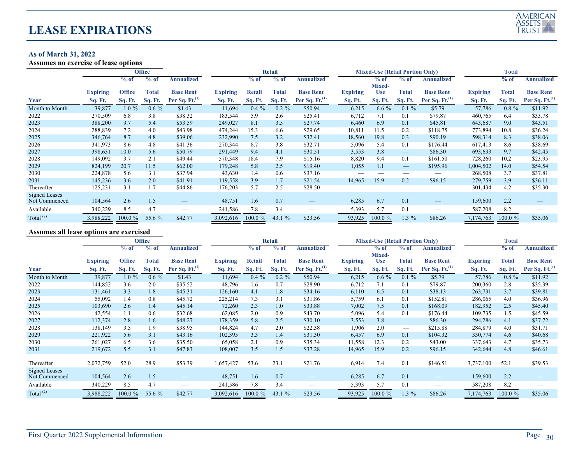### <span id="page-29-0"></span>**LEASE EXPIRATIONS**



#### **As of March 31, 2022**

**Assumes no exercise of lease options**

|                                       | <b>Office</b>   |               |              |                                | <b>Retail</b>   |               |              |                                 | <b>Mixed-Use (Retail Portion Only)</b> |                      |                          |                   | <b>Total</b>    |              |                      |
|---------------------------------------|-----------------|---------------|--------------|--------------------------------|-----------------|---------------|--------------|---------------------------------|----------------------------------------|----------------------|--------------------------|-------------------|-----------------|--------------|----------------------|
|                                       |                 | $%$ of        | $%$ of       | <b>Annualized</b>              |                 | $%$ of        | $%$ of       | <b>Annualized</b>               |                                        | $%$ of               | $%$ of                   | <b>Annualized</b> |                 | $%$ of       | <b>Annualized</b>    |
|                                       | <b>Expiring</b> | <b>Office</b> | <b>Total</b> | <b>Base Rent</b>               | <b>Expiring</b> | <b>Retail</b> | <b>Total</b> | <b>Base Rent</b>                | <b>Expiring</b>                        | Mixed-<br><b>Use</b> | <b>Total</b>             | <b>Base Rent</b>  | <b>Expiring</b> | <b>Total</b> | <b>Base Rent</b>     |
| Year                                  | Sq. Ft.         | Sq. Ft.       | Sq. Ft.      | Per Sq. $Ft^{(1)}$             | Sq. Ft.         | Sq. Ft.       | Sq. Ft.      | Per Sq. $Ft^{(1)}$              | Sq. Ft.                                | Sq. Ft.              | Sq. Ft.                  | Per Sq. Ft. $(1)$ | Sq. Ft.         | Sq. Ft.      | Per Sq. Ft. $^{(1)}$ |
| Month to Month                        | 39,877          | $1.0 \%$      | $0.6 \%$     | \$1.43                         | 11,694          | $0.4 \%$      | $0.2 \%$     | \$50.94                         | 6,215                                  | $6.6\%$              | $0.1 \%$                 | \$5.79            | 57,786          | $0.8 \%$     | \$11.92              |
| 2022                                  | 270,509         | 6.8           | 3.8          | \$38.32                        | 183,544         | 5.9           | 2.6          | \$25.41                         | 6,712                                  | 7.1                  | 0.1                      | \$79.87           | 460,765         | 6.4          | \$33.78              |
| 2023                                  | 388,200         | 9.7           | 5.4          | \$53.59                        | 249,027         | 8.1           | 3.5          | \$27.74                         | 6,460                                  | 6.9                  | 0.1                      | \$45.81           | 643,687         | 9.0          | \$43.51              |
| 2024                                  | 288,839         | 7.2           | 4.0          | \$43.98                        | 474,244         | 15.3          | 6.6          | \$29.65                         | 10,811                                 | 11.5                 | 0.2                      | \$118.75          | 773,894         | 10.8         | \$36.24              |
| 2025                                  | 346,764         | 8.7           | 4.8          | \$39.06                        | 232,990         | 7.5           | 3.2          | \$32.41                         | 18,560                                 | 19.8                 | 0.3                      | \$90.19           | 598,314         | 8.3          | \$38.06              |
| 2026                                  | 341,973         | 8.6           | 4.8          | \$41.36                        | 270,344         | 8.7           | 3.8          | \$32.71                         | 5,096                                  | 5.4                  | 0.1                      | \$176.44          | 617,413         | 8.6          | \$38.69              |
| 2027                                  | 398,631         | 10.0          | 5.6          | \$50.79                        | 291,449         | 9.4           | 4.1          | \$30.51                         | 3,553                                  | 3.8                  | $\overline{\phantom{m}}$ | \$86.30           | 693,633         | 9.7          | \$42.45              |
| 2028                                  | 149,092         | 3.7           | 2.1          | \$49.44                        | 570,348         | 18.4          | 7.9          | \$15.16                         | 8,820                                  | 9.4                  | 0.1                      | \$161.50          | 728,260         | 10.2         | \$23.95              |
| 2029                                  | 824,199         | 20.7          | 11.5         | \$62.00                        | 179,248         | 5.8           | 2.5          | \$19.40                         | 1,055                                  | 1.1                  | $\qquad \qquad -$        | \$195.96          | 1,004,502       | 14.0         | \$54.54              |
| 2030                                  | 224,878         | 5.6           | 3.1          | \$37.94                        | 43,630          | 1.4           | 0.6          | \$37.16                         |                                        |                      |                          |                   | 268,508         | 3.7          | \$37.81              |
| 2031                                  | 145,236         | 3.6           | 2.0          | \$41.91                        | 119,558         | 3.9           | 1.7          | \$21.54                         | 14,965                                 | 15.9                 | 0.2                      | \$96.15           | 279,759         | 3.9          | \$36.11              |
| Thereafter                            | 125,231         | 3.1           | 1.7          | \$44.86                        | 176,203         | 5.7           | 2.5          | \$28.50                         |                                        |                      |                          |                   | 301,434         | 4.2          | \$35.30              |
| <b>Signed Leases</b><br>Not Commenced | 104,564         | 2.6           | 1.5          | $\qquad \qquad \longleftarrow$ | 48,751          | 1.6           | 0.7          | $\hspace{0.1mm}-\hspace{0.1mm}$ | 6,285                                  | 6.7                  | 0.1                      |                   | 159,600         | 2.2          |                      |
| Available                             | 340,229         | 8.5           | 4.7          |                                | 241,586         | 7.8           | 3.4          | $\hspace{0.05cm}$               | 5,393                                  | 5.7                  | 0.1                      |                   | 587,208         | 8.2          |                      |
| Total $^{(2)}$                        | 3,988,222       | 100.0%        | 55.6 %       | \$42.77                        | 3,092,616       | $100.0 \%$    | 43.1 $%$     | \$23.56                         | 93,925                                 | $100.0 \%$           | $1.3\%$                  | \$86.26           | 7,174,763       | 100.0 %      | \$35.06              |

#### **Assumes all lease options are exercised**

|                                | <b>Office</b>   |               |              |                      | <b>Retail</b>   |               |              |                    | <b>Mixed-Use (Retail Portion Only)</b> |                      |                                 |                    | <b>Total</b>    |              |                   |
|--------------------------------|-----------------|---------------|--------------|----------------------|-----------------|---------------|--------------|--------------------|----------------------------------------|----------------------|---------------------------------|--------------------|-----------------|--------------|-------------------|
|                                |                 | $%$ of        | $%$ of       | <b>Annualized</b>    |                 | $%$ of        | $%$ of       | <b>Annualized</b>  |                                        | $%$ of               | $%$ of                          | <b>Annualized</b>  |                 | $%$ of       | <b>Annualized</b> |
|                                | <b>Expiring</b> | <b>Office</b> | <b>Total</b> | <b>Base Rent</b>     | <b>Expiring</b> | <b>Retail</b> | <b>Total</b> | <b>Base Rent</b>   | <b>Expiring</b>                        | Mixed-<br><b>Use</b> | <b>Total</b>                    | <b>Base Rent</b>   | <b>Expiring</b> | <b>Total</b> | <b>Base Rent</b>  |
| Year                           | Sq. Ft.         | Sq. Ft.       | Sq. Ft.      | Per Sq. Ft. $^{(1)}$ | Sq. Ft.         | Sq. Ft.       | Sq. Ft.      | Per Sq. $Ft^{(1)}$ | Sq. Ft.                                | Sq. Ft.              | Sq. Ft.                         | Per Sq. $Ft^{(1)}$ | Sq. Ft.         | Sq. Ft.      | Per Sq. Ft. $(1)$ |
| Month to Month                 | 39,877          | $1.0 \%$      | $0.6 \%$     | \$1.43               | 11,694          | $0.4 \%$      | $0.2 \%$     | \$50.94            | 6,215                                  | $6.6\%$              | $0.1 \%$                        | \$5.79             | 57,786          | $0.8 \%$     | \$11.92           |
| 2022                           | 144,852         | 3.6           | 2.0          | \$35.52              | 48,796          | 1.6           | 0.7          | \$28.90            | 6,712                                  | 7.1                  | 0.1                             | \$79.87            | 200,360         | 2.8          | \$35.39           |
| 2023                           | 131,461         | 3.3           | 1.8          | \$45.31              | 126,160         | 4.1           | 1.8          | \$34.16            | 6,110                                  | 6.5                  | 0.1                             | \$38.13            | 263,731         | 3.7          | \$39.81           |
| 2024                           | 55,092          | 1.4           | 0.8          | \$45.72              | 225,214         | 7.3           | 3.1          | \$31.86            | 5,759                                  | 6.1                  | 0.1                             | \$152.81           | 286,065         | 4.0          | \$36.96           |
| 2025                           | 103,690         | 2.6           | 1.4          | \$45.14              | 72,260          | 2.3           | 1.0          | \$33.88            | 7,002                                  | 7.5                  | 0.1                             | \$168.09           | 182,952         | 2.5          | \$45.40           |
| 2026                           | 42,554          | 1.1           | 0.6          | \$32.68              | 62,085          | 2.0           | 0.9          | \$43.70            | 5,096                                  | 5.4                  | 0.1                             | \$176.44           | 109,735         | 1.5          | \$45.59           |
| 2027                           | 112,374         | 2.8           | 1.6          | \$48.27              | 178,359         | 5.8           | 2.5          | \$30.10            | 3,553                                  | 3.8                  | $\qquad \qquad -$               | \$86.30            | 294,286         | 4.1          | \$37.72           |
| 2028                           | 138,149         | 3.5           | 1.9          | \$38.95              | 144,824         | 4.7           | 2.0          | \$22.38            | 1,906                                  | 2.0                  | $\hspace{0.1mm}-\hspace{0.1mm}$ | \$215.88           | 284,879         | 4.0          | \$31.71           |
| 2029                           | 221,922         | 5.6           | 3.1          | \$43.16              | 102,395         | 3.3           | 1.4          | \$31.30            | 6,457                                  | 6.9                  | 0.1                             | \$104.32           | 330,774         | 4.6          | \$40.68           |
| 2030                           | 261,027         | 6.5           | 3.6          | \$35.50              | 65,058          | 2.1           | 0.9          | \$35.34            | 11,558                                 | 12.3                 | 0.2                             | \$43.00            | 337,643         | 4.7          | \$35.73           |
| 2031                           | 219,672         | 5.5           | 3.1          | \$47.83              | 108,007         | 3.5           | 1.5          | \$37.28            | 14,965                                 | 15.9                 | 0.2                             | \$96.15            | 342,644         | 4.8          | \$46.61           |
| Thereafter                     | 2,072,759       | 52.0          | 28.9         | \$53.39              | 1,657,427       | 53.6          | 23.1         | \$21.76            | 6,914                                  | 7.4                  | 0.1                             | \$146.51           | 3,737,100       | 52.1         | \$39.53           |
| Signed Leases<br>Not Commenced | 104,564         | 2.6           | 1.5          |                      | 48,751          | 1.6           | 0.7          |                    | 6,285                                  | 6.7                  | 0.1                             |                    | 159,600         | 2.2          |                   |
| Available                      | 340,229         | 8.5           | 4.7          |                      | 241,586         | 7.8           | 3.4          |                    | 5,393                                  | 5.7                  | 0.1                             |                    | 587,208         | 8.2          |                   |
| Total <sup>(2)</sup>           | 3,988,222       | $100.0 \%$    | 55.6 %       | \$42.77              | 3,092,616       | 100.0 %       | 43.1 $%$     | \$23.56            | 93,925                                 | 100.0%               | $1.3\%$                         | \$86.26            | 174,763         | 100.0 %      | \$35.06           |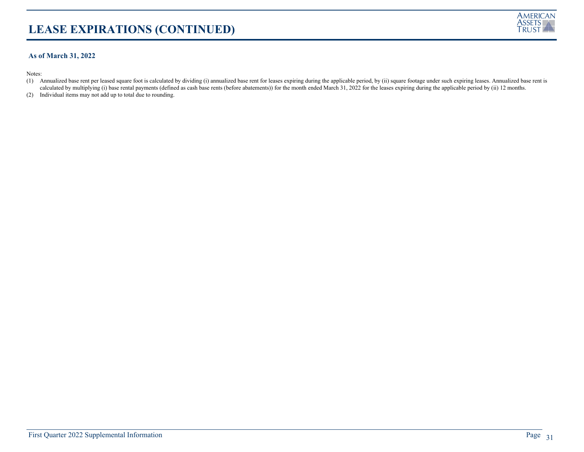Notes:

- (1) Annualized base rent per leased square foot is calculated by dividing (i) annualized base rent for leases expiring during the applicable period, by (ii) square footage under such expiring leases. Annualized base rent is calculated by multiplying (i) base rental payments (defined as cash base rents (before abatements)) for the month ended March 31, 2022 for the leases expiring during the applicable period by (ii) 12 months.
- (2) Individual items may not add up to total due to rounding.

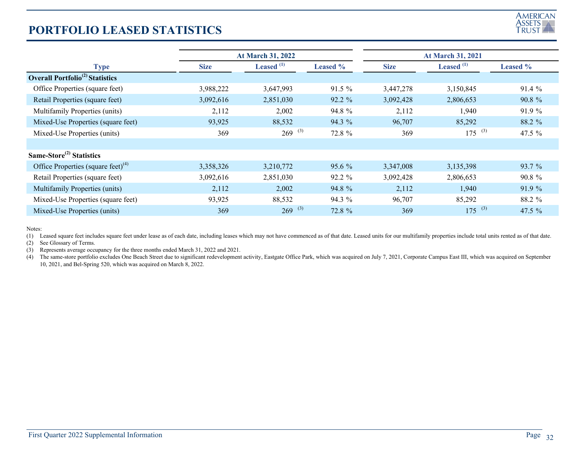### <span id="page-31-0"></span>**PORTFOLIO LEASED STATISTICS**



|                                                   |             | <b>At March 31, 2022</b> |                 |             | <b>At March 31, 2021</b> |                 |
|---------------------------------------------------|-------------|--------------------------|-----------------|-------------|--------------------------|-----------------|
| <b>Type</b>                                       | <b>Size</b> | Leased $(1)$             | <b>Leased %</b> | <b>Size</b> | Leased $(1)$             | <b>Leased</b> % |
| <b>Overall Portfolio<sup>(2)</sup> Statistics</b> |             |                          |                 |             |                          |                 |
| Office Properties (square feet)                   | 3,988,222   | 3,647,993                | $91.5 \%$       | 3,447,278   | 3,150,845                | 91.4%           |
| Retail Properties (square feet)                   | 3,092,616   | 2,851,030                | 92.2 %          | 3,092,428   | 2,806,653                | 90.8 %          |
| Multifamily Properties (units)                    | 2,112       | 2,002                    | 94.8 %          | 2,112       | 1,940                    | 91.9%           |
| Mixed-Use Properties (square feet)                | 93,925      | 88,532                   | 94.3 %          | 96,707      | 85,292                   | 88.2 %          |
| Mixed-Use Properties (units)                      | 369         | $269^{(3)}$              | 72.8 %          | 369         | $175^{(3)}$              | 47.5 $%$        |
|                                                   |             |                          |                 |             |                          |                 |
| Same-Store <sup>(2)</sup> Statistics              |             |                          |                 |             |                          |                 |
| Office Properties (square feet) <sup>(4)</sup>    | 3,358,326   | 3,210,772                | $95.6\%$        | 3,347,008   | 3,135,398                | $93.7 \%$       |
| Retail Properties (square feet)                   | 3,092,616   | 2,851,030                | $92.2 \%$       | 3,092,428   | 2,806,653                | 90.8 %          |
| Multifamily Properties (units)                    | 2,112       | 2,002                    | 94.8 %          | 2,112       | 1,940                    | 91.9%           |
| Mixed-Use Properties (square feet)                | 93,925      | 88,532                   | 94.3 %          | 96,707      | 85,292                   | 88.2 %          |
| Mixed-Use Properties (units)                      | 369         | $269^{(3)}$              | 72.8 %          | 369         | $175^{(3)}$              | 47.5 $%$        |

Notes:

(1) Leased square feet includes square feet under lease as of each date, including leases which may not have commenced as of that date. Leased units for our multifamily properties include total units rented as of that date.

(2) See Glossary of Terms.

(3) Represents average occupancy for the three months ended March 31, 2022 and 2021.

(4) The same-store portfolio excludes One Beach Street due to significant redevelopment activity, Eastgate Office Park, which was acquired on July 7, 2021, Corporate Campus East III, which was acquired on September 10, 2021, and Bel-Spring 520, which was acquired on March 8, 2022.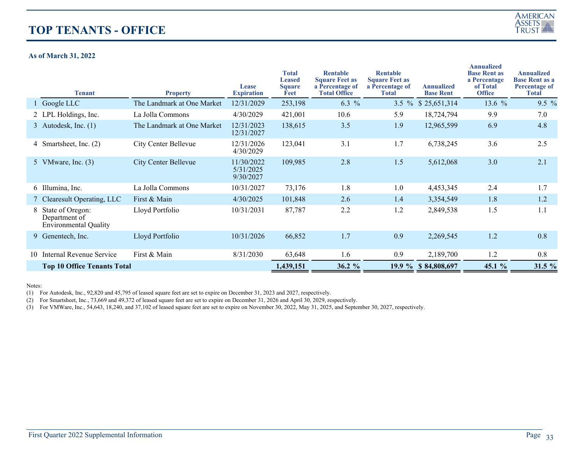### <span id="page-32-0"></span>**TOP TENANTS - OFFICE**



#### **As of March 31, 2022**

| <b>Tenant</b>                                                       | <b>Property</b>             | Lease<br><b>Expiration</b>           | <b>Total</b><br><b>Leased</b><br><b>Square</b><br>Feet | Rentable<br><b>Square Feet as</b><br>a Percentage of<br><b>Total Office</b> | Rentable<br><b>Square Feet as</b><br>a Percentage of<br><b>Total</b> | <b>Annualized</b><br><b>Base Rent</b> | <b>Annualized</b><br><b>Base Rent as</b><br>a Percentage<br>of Total<br><b>Office</b> | <b>Annualized</b><br><b>Base Rent as a</b><br><b>Percentage of</b><br><b>Total</b> |
|---------------------------------------------------------------------|-----------------------------|--------------------------------------|--------------------------------------------------------|-----------------------------------------------------------------------------|----------------------------------------------------------------------|---------------------------------------|---------------------------------------------------------------------------------------|------------------------------------------------------------------------------------|
| 1 Google LLC                                                        | The Landmark at One Market  | 12/31/2029                           | 253,198                                                | 6.3 $%$                                                                     | $3.5 \%$                                                             | \$25,651,314                          | 13.6 %                                                                                | $9.5\%$                                                                            |
| 2 LPL Holdings, Inc.                                                | La Jolla Commons            | 4/30/2029                            | 421,001                                                | 10.6                                                                        | 5.9                                                                  | 18,724,794                            | 9.9                                                                                   | 7.0                                                                                |
| 3 Autodesk, Inc. (1)                                                | The Landmark at One Market  | 12/31/2023<br>12/31/2027             | 138,615                                                | 3.5                                                                         | 1.9                                                                  | 12,965,599                            | 6.9                                                                                   | 4.8                                                                                |
| 4 Smartsheet, Inc. (2)                                              | City Center Bellevue        | 12/31/2026<br>4/30/2029              | 123,041                                                | 3.1                                                                         | 1.7                                                                  | 6,738,245                             | 3.6                                                                                   | 2.5                                                                                |
| 5 VMware, Inc. $(3)$                                                | <b>City Center Bellevue</b> | 11/30/2022<br>5/31/2025<br>9/30/2027 | 109,985                                                | 2.8                                                                         | 1.5                                                                  | 5,612,068                             | 3.0                                                                                   | 2.1                                                                                |
| 6 Illumina, Inc.                                                    | La Jolla Commons            | 10/31/2027                           | 73,176                                                 | 1.8                                                                         | 1.0                                                                  | 4,453,345                             | 2.4                                                                                   | 1.7                                                                                |
| 7 Clearesult Operating, LLC                                         | First & Main                | 4/30/2025                            | 101,848                                                | 2.6                                                                         | 1.4                                                                  | 3,354,549                             | 1.8                                                                                   | 1.2                                                                                |
| 8 State of Oregon:<br>Department of<br><b>Environmental Quality</b> | Lloyd Portfolio             | 10/31/2031                           | 87,787                                                 | 2.2                                                                         | 1.2                                                                  | 2,849,538                             | 1.5                                                                                   | 1.1                                                                                |
| 9 Genentech, Inc.                                                   | Lloyd Portfolio             | 10/31/2026                           | 66,852                                                 | 1.7                                                                         | 0.9                                                                  | 2,269,545                             | 1.2                                                                                   | 0.8                                                                                |
| 10 Internal Revenue Service                                         | First & Main                | 8/31/2030                            | 63,648                                                 | 1.6                                                                         | 0.9                                                                  | 2,189,700                             | 1.2                                                                                   | 0.8                                                                                |
| <b>Top 10 Office Tenants Total</b>                                  |                             |                                      | 1,439,151                                              | 36.2%                                                                       | 19.9 $%$                                                             | \$84,808,697                          | 45.1 %                                                                                | 31.5 %                                                                             |

Notes:

(1) For Autodesk, Inc., 92,820 and 45,795 of leased square feet are set to expire on December 31, 2023 and 2027, respectively.

(2) For Smartsheet, Inc., 73,669 and 49,372 of leased square feet are set to expire on December 31, 2026 and April 30, 2029, respectively.

(3) For VMWare, Inc., 54,643, 18,240, and 37,102 of leased square feet are set to expire on November 30, 2022, May 31, 2025, and September 30, 2027, respectively.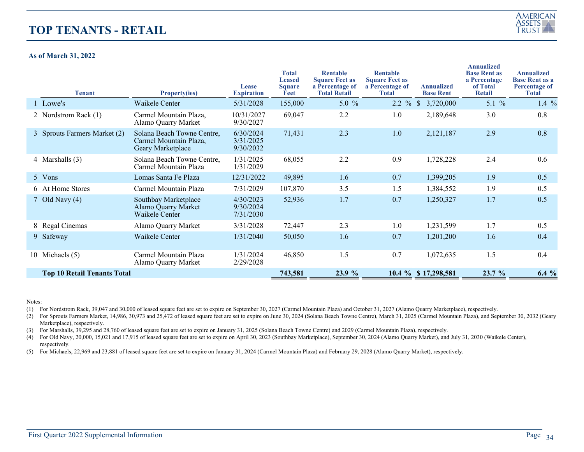### <span id="page-33-0"></span>**TOP TENANTS - RETAIL**



**Annualized** 

#### **As of March 31, 2022**

| Waikele Center<br>5.0 $%$<br>$2.2 \%$<br>3,720,000<br>5.1 $%$<br>5/31/2028<br>155,000<br>1 Lowe's<br>10/31/2027<br>2.2<br>2,189,648<br>3.0<br>0.8<br>2 Nordstrom Rack (1)<br>Carmel Mountain Plaza,<br>69,047<br>1.0<br>Alamo Quarry Market<br>9/30/2027<br>2.3<br>2.9<br>0.8<br>6/30/2024<br>71,431<br>1.0<br>2,121,187<br>3 Sprouts Farmers Market (2)<br>Solana Beach Towne Centre,<br>3/31/2025<br>Carmel Mountain Plaza,<br>9/30/2032<br>Geary Marketplace<br>2.2<br>2.4<br>1/31/2025<br>0.9<br>1,728,228<br>0.6<br>Solana Beach Towne Centre,<br>68,055<br>4 Marshalls (3)<br>1/31/2029<br>Carmel Mountain Plaza<br>1.9<br>Lomas Santa Fe Plaza<br>12/31/2022<br>49,895<br>0.7<br>1,399,205<br>1.6<br>0.5<br>5 Vons<br>1.9<br>Carmel Mountain Plaza<br>7/31/2029<br>107,870<br>6 At Home Stores<br>3.5<br>1.5<br>1,384,552<br>0.5<br>1.7<br>1.7<br>0.7<br>0.5<br>7 Old Navy $(4)$<br>Southbay Marketplace<br>4/30/2023<br>52,936<br>1,250,327<br><b>Alamo Quarry Market</b><br>9/30/2024<br>Waikele Center<br>7/31/2030<br>2.3<br>1.7<br>8 Regal Cinemas<br>3/31/2028<br>72,447<br>1,231,599<br>0.5<br>Alamo Quarry Market<br>1.0<br>Waikele Center<br>1/31/2040<br>0.7<br>1,201,200<br>1.6<br>0.4<br>9 Safeway<br>50,050<br>1.6<br>1.5<br>1.5<br>0.7<br>1,072,635<br>0.4<br>10 Michaels (5)<br>1/31/2024<br>Carmel Mountain Plaza<br>46,850<br>Alamo Quarry Market<br>2/29/2028<br>23.9 %<br>23.7%<br>10.4 % \$17,298,581<br>743,581<br><b>Top 10 Retail Tenants Total</b> | <b>Tenant</b> | <b>Property(ies)</b> | Lease<br><b>Expiration</b> | <b>Total</b><br><b>Leased</b><br><b>Square</b><br>Feet | Rentable<br><b>Square Feet as</b><br>a Percentage of<br><b>Total Retail</b> | Rentable<br><b>Square Feet as</b><br>a Percentage of<br><b>Total</b> | <b>Annualized</b><br><b>Base Rent</b> | Alliluanzeu<br><b>Base Rent as</b><br>a Percentage<br>of Total<br><b>Retail</b> | <b>Annualized</b><br><b>Base Rent as a</b><br><b>Percentage of</b><br><b>Total</b> |
|-----------------------------------------------------------------------------------------------------------------------------------------------------------------------------------------------------------------------------------------------------------------------------------------------------------------------------------------------------------------------------------------------------------------------------------------------------------------------------------------------------------------------------------------------------------------------------------------------------------------------------------------------------------------------------------------------------------------------------------------------------------------------------------------------------------------------------------------------------------------------------------------------------------------------------------------------------------------------------------------------------------------------------------------------------------------------------------------------------------------------------------------------------------------------------------------------------------------------------------------------------------------------------------------------------------------------------------------------------------------------------------------------------------------------------------------------------------------------------------|---------------|----------------------|----------------------------|--------------------------------------------------------|-----------------------------------------------------------------------------|----------------------------------------------------------------------|---------------------------------------|---------------------------------------------------------------------------------|------------------------------------------------------------------------------------|
|                                                                                                                                                                                                                                                                                                                                                                                                                                                                                                                                                                                                                                                                                                                                                                                                                                                                                                                                                                                                                                                                                                                                                                                                                                                                                                                                                                                                                                                                                   |               |                      |                            |                                                        |                                                                             |                                                                      |                                       |                                                                                 | 1.4 $%$                                                                            |
|                                                                                                                                                                                                                                                                                                                                                                                                                                                                                                                                                                                                                                                                                                                                                                                                                                                                                                                                                                                                                                                                                                                                                                                                                                                                                                                                                                                                                                                                                   |               |                      |                            |                                                        |                                                                             |                                                                      |                                       |                                                                                 |                                                                                    |
|                                                                                                                                                                                                                                                                                                                                                                                                                                                                                                                                                                                                                                                                                                                                                                                                                                                                                                                                                                                                                                                                                                                                                                                                                                                                                                                                                                                                                                                                                   |               |                      |                            |                                                        |                                                                             |                                                                      |                                       |                                                                                 |                                                                                    |
|                                                                                                                                                                                                                                                                                                                                                                                                                                                                                                                                                                                                                                                                                                                                                                                                                                                                                                                                                                                                                                                                                                                                                                                                                                                                                                                                                                                                                                                                                   |               |                      |                            |                                                        |                                                                             |                                                                      |                                       |                                                                                 |                                                                                    |
|                                                                                                                                                                                                                                                                                                                                                                                                                                                                                                                                                                                                                                                                                                                                                                                                                                                                                                                                                                                                                                                                                                                                                                                                                                                                                                                                                                                                                                                                                   |               |                      |                            |                                                        |                                                                             |                                                                      |                                       |                                                                                 |                                                                                    |
|                                                                                                                                                                                                                                                                                                                                                                                                                                                                                                                                                                                                                                                                                                                                                                                                                                                                                                                                                                                                                                                                                                                                                                                                                                                                                                                                                                                                                                                                                   |               |                      |                            |                                                        |                                                                             |                                                                      |                                       |                                                                                 |                                                                                    |
|                                                                                                                                                                                                                                                                                                                                                                                                                                                                                                                                                                                                                                                                                                                                                                                                                                                                                                                                                                                                                                                                                                                                                                                                                                                                                                                                                                                                                                                                                   |               |                      |                            |                                                        |                                                                             |                                                                      |                                       |                                                                                 |                                                                                    |
|                                                                                                                                                                                                                                                                                                                                                                                                                                                                                                                                                                                                                                                                                                                                                                                                                                                                                                                                                                                                                                                                                                                                                                                                                                                                                                                                                                                                                                                                                   |               |                      |                            |                                                        |                                                                             |                                                                      |                                       |                                                                                 |                                                                                    |
|                                                                                                                                                                                                                                                                                                                                                                                                                                                                                                                                                                                                                                                                                                                                                                                                                                                                                                                                                                                                                                                                                                                                                                                                                                                                                                                                                                                                                                                                                   |               |                      |                            |                                                        |                                                                             |                                                                      |                                       |                                                                                 |                                                                                    |
|                                                                                                                                                                                                                                                                                                                                                                                                                                                                                                                                                                                                                                                                                                                                                                                                                                                                                                                                                                                                                                                                                                                                                                                                                                                                                                                                                                                                                                                                                   |               |                      |                            |                                                        |                                                                             |                                                                      |                                       |                                                                                 |                                                                                    |
|                                                                                                                                                                                                                                                                                                                                                                                                                                                                                                                                                                                                                                                                                                                                                                                                                                                                                                                                                                                                                                                                                                                                                                                                                                                                                                                                                                                                                                                                                   |               |                      |                            |                                                        |                                                                             |                                                                      |                                       |                                                                                 | $6.4\%$                                                                            |

#### Notes:

(1) For Nordstrom Rack, 39,047 and 30,000 of leased square feet are set to expire on September 30, 2027 (Carmel Mountain Plaza) and October 31, 2027 (Alamo Quarry Marketplace), respectively.

(2) For Sprouts Farmers Market, 14,986, 30,973 and 25,472 of leased square feet are set to expire on June 30, 2024 (Solana Beach Towne Centre), March 31, 2025 (Carmel Mountain Plaza), and September 30, 2032 (Geary Marketplace), respectively.

(3) For Marshalls, 39,295 and 28,760 of leased square feet are set to expire on January 31, 2025 (Solana Beach Towne Centre) and 2029 (Carmel Mountain Plaza), respectively.

(4) For Old Navy, 20,000, 15,021 and 17,915 of leased square feet are set to expire on April 30, 2023 (Southbay Marketplace), September 30, 2024 (Alamo Quarry Market), and July 31, 2030 (Waikele Center), respectively.

(5) For Michaels, 22,969 and 23,881 of leased square feet are set to expire on January 31, 2024 (Carmel Mountain Plaza) and February 29, 2028 (Alamo Quarry Market), respectively.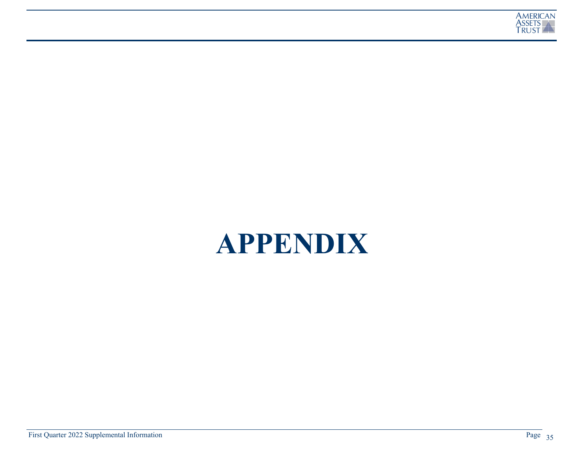

## **APPENDIX**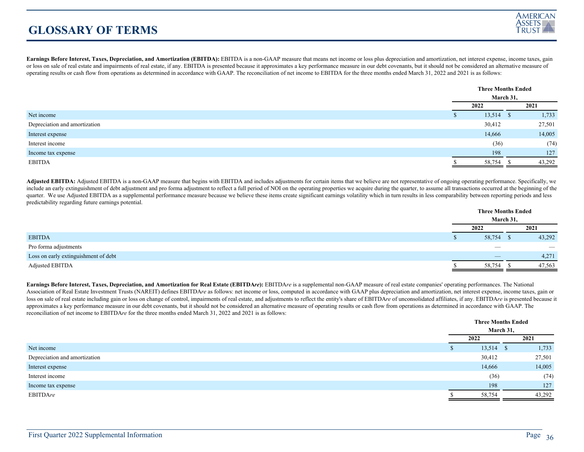### <span id="page-35-0"></span>**GLOSSARY OF TERMS**

Earnings Before Interest, Taxes, Depreciation, and Amortization (EBITDA): EBITDA is a non-GAAP measure that means net income or loss plus depreciation and amortization, net interest expense, income taxes, gain or loss on sale of real estate and impairments of real estate, if any. EBITDA is presented because it approximates a key performance measure in our debt covenants, but it should not be considered an alternative measure of operating results or cash flow from operations as determined in accordance with GAAP. The reconciliation of net income to EBITDA for the three months ended March 31, 2022 and 2021 is as follows:

|                               | <b>Three Months Ended</b> |             |  |        |
|-------------------------------|---------------------------|-------------|--|--------|
|                               | March 31,                 |             |  |        |
|                               |                           | 2022        |  | 2021   |
| Net income                    |                           | $13,514$ \$ |  | 1,733  |
| Depreciation and amortization |                           | 30,412      |  | 27,501 |
| Interest expense              |                           | 14,666      |  | 14,005 |
| Interest income               |                           | (36)        |  | (74)   |
| Income tax expense            |                           | 198         |  | 127    |
| <b>EBITDA</b>                 |                           | 58,754      |  | 43,292 |

Adjusted EBITDA: Adjusted EBITDA is a non-GAAP measure that begins with EBITDA and includes adjustments for certain items that we believe are not representative of ongoing operating performance. Specifically, we include an early extinguishment of debt adjustment and pro forma adjustment to reflect a full period of NOI on the operating properties we acquire during the quarter, to assume all transactions occurred at the beginning of quarter. We use Adjusted EBITDA as a supplemental performance measure because we believe these items create significant earnings volatility which in turn results in less comparability between reporting periods and less predictability regarding future earnings potential.

|                                      | <b>Three Months Ended</b>       |        |  |
|--------------------------------------|---------------------------------|--------|--|
|                                      | March 31,                       |        |  |
|                                      | 2022                            | 2021   |  |
| <b>EBITDA</b>                        | 58,754                          | 43,292 |  |
| Pro forma adjustments                | $\hspace{0.1mm}-\hspace{0.1mm}$ |        |  |
| Loss on early extinguishment of debt |                                 | 4,271  |  |
| Adjusted EBITDA                      | 58,754                          | 47,563 |  |

Earnings Before Interest, Taxes, Depreciation, and Amortization for Real Estate (EBITDAre): EBITDAre is a supplemental non-GAAP measure of real estate companies' operating performances. The National Association of Real Estate Investment Trusts (NAREIT) defines EBITDA*re* as follows: net income or loss, computed in accordance with GAAP plus depreciation and amortization, net interest expense, income taxes, gain or loss on sale of real estate including gain or loss on change of control, impairments of real estate, and adjustments to reflect the entity's share of EBITDAre of unconsolidated affiliates, if any. EBITDAre is presented bec approximates a key performance measure in our debt covenants, but it should not be considered an alternative measure of operating results or cash flow from operations as determined in accordance with GAAP. The reconciliation of net income to EBITDA*re* for the three months ended March 31, 2022 and 2021 is as follows:

|                               | <b>Three Months Ended</b> |        |  |  |
|-------------------------------|---------------------------|--------|--|--|
|                               | March 31,                 |        |  |  |
|                               | 2022                      | 2021   |  |  |
| Net income                    | $13,514$ \$               | 1,733  |  |  |
| Depreciation and amortization | 30,412                    | 27,501 |  |  |
| Interest expense              | 14,666                    | 14,005 |  |  |
| Interest income               | (36)                      | (74)   |  |  |
| Income tax expense            | 198                       | 127    |  |  |
| EBITDAre                      | 58,754                    | 43,292 |  |  |
|                               |                           |        |  |  |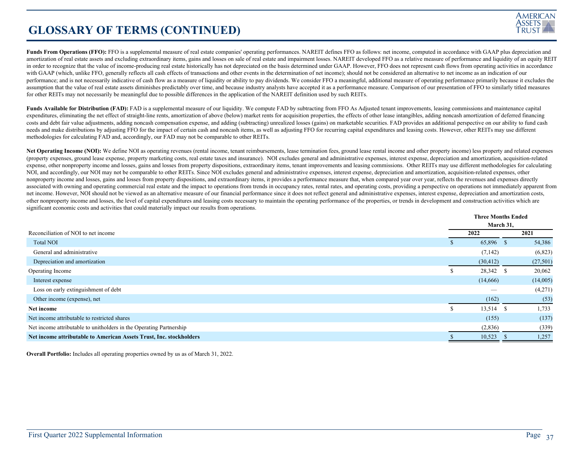

Funds From Operations (FFO): FFO is a supplemental measure of real estate companies' operating performances. NAREIT defines FFO as follows: net income, computed in accordance with GAAP plus depreciation and amortization of real estate assets and excluding extraordinary items, gains and losses on sale of real estate and impairment losses. NAREIT developed FFO as a relative measure of performance and liquidity of an equity REIT in order to recognize that the value of income-producing real estate historically has not depreciated on the basis determined under GAAP. However, FFO does not represent cash flows from operating activities in accordance with GAAP (which, unlike FFO, generally reflects all cash effects of transactions and other events in the determination of net income); should not be considered an alternative to net income as an indication of our performance; and is not necessarily indicative of cash flow as a measure of liquidity or ability to pay dividends. We consider FFO a meaningful, additional measure of operating performance primarily because it excludes the assumption that the value of real estate assets diminishes predictably over time, and because industry analysts have accepted it as a performance measure. Comparison of our presentation of FFO to similarly titled measures for other REITs may not necessarily be meaningful due to possible differences in the application of the NAREIT definition used by such REITs.

Funds Available for Distribution (FAD): FAD is a supplemental measure of our liquidity. We compute FAD by subtracting from FFO As Adjusted tenant improvements, leasing commissions and maintenance capital expenditures, eliminating the net effect of straight-line rents, amortization of above (below) market rents for acquisition properties, the effects of other lease intangibles, adding noncash amortization of deferred financ costs and debt fair value adjustments, adding noncash compensation expense, and adding (subtracting) unrealized losses (gains) on marketable securities. FAD provides an additional perspective on our ability to fund cash needs and make distributions by adjusting FFO for the impact of certain cash and noncash items, as well as adjusting FFO for recurring capital expenditures and leasing costs. However, other REITs may use different methodologies for calculating FAD and, accordingly, our FAD may not be comparable to other REITs.

Net Operating Income (NOI): We define NOI as operating revenues (rental income, tenant reimbursements, lease termination fees, ground lease rental income and other property income) less property and related expenses (property expenses, ground lease expense, property marketing costs, real estate taxes and insurance). NOI excludes general and administrative expenses, interest expense, depreciation and amortization, acquisition-related expense, other nonproperty income and losses, gains and losses from property dispositions, extraordinary items, tenant improvements and leasing commissions. Other REITs may use different methodologies for calculating NOI, and accordingly, our NOI may not be comparable to other REITs. Since NOI excludes general and administrative expenses, interest expense, depreciation and amortization, acquisition-related expenses, other nonproperty income and losses, gains and losses from property dispositions, and extraordinary items, it provides a performance measure that, when compared year over year, reflects the revenues and expenses directly associated with owning and operating commercial real estate and the impact to operations from trends in occupancy rates, rental rates, and operating costs, providing a perspective on operations not immediately apparent fro net income. However, NOI should not be viewed as an alternative measure of our financial performance since it does not reflect general and administrative expenses, interest expense, depreciation and amortization costs, other nonproperty income and losses, the level of capital expenditures and leasing costs necessary to maintain the operating performance of the properties, or trends in development and construction activities which are significant economic costs and activities that could materially impact our results from operations.

|                                                                     | <b>Three Months Ended</b> |             |          |
|---------------------------------------------------------------------|---------------------------|-------------|----------|
|                                                                     |                           | March 31,   |          |
| Reconciliation of NOI to net income                                 |                           | 2022        | 2021     |
| <b>Total NOI</b>                                                    | $\mathcal{L}$             | 65,896 \$   | 54,386   |
| General and administrative                                          |                           | (7,142)     | (6,823)  |
| Depreciation and amortization                                       |                           | (30, 412)   | (27,501) |
| Operating Income                                                    | S.                        | 28,342 \$   | 20,062   |
| Interest expense                                                    |                           | (14,666)    | (14,005) |
| Loss on early extinguishment of debt                                |                           |             | (4,271)  |
| Other income (expense), net                                         |                           | (162)       | (53)     |
| Net income                                                          | S                         | $13,514$ \$ | 1,733    |
| Net income attributable to restricted shares                        |                           | (155)       | (137)    |
| Net income attributable to unitholders in the Operating Partnership |                           | (2,836)     | (339)    |
| Net income attributable to American Assets Trust, Inc. stockholders |                           | 10,523      | 1,257    |

**Overall Portfolio:** Includes all operating properties owned by us as of March 31, 2022.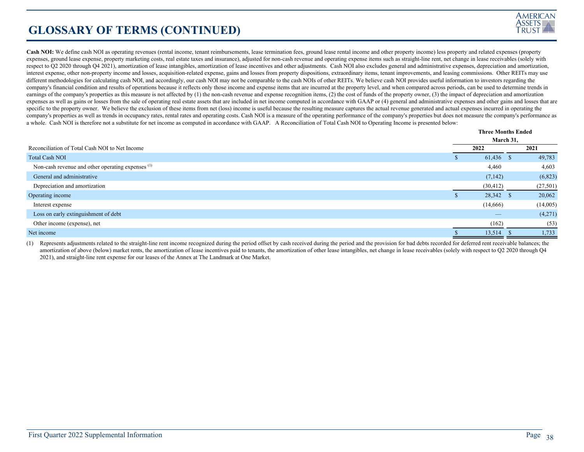

Cash NOI: We define cash NOI as operating revenues (rental income, tenant reimbursements, lease termination fees, ground lease rental income and other property income) less property and related expenses (property expenses, ground lease expense, property marketing costs, real estate taxes and insurance), adjusted for non-cash revenue and operating expense items such as straight-line rent, net change in lease receivables (solely with respect to Q2 2020 through Q4 2021), amortization of lease intangibles, amortization of lease incentives and other adjustments. Cash NOI also excludes general and administrative expenses, depreciation and amortization, interest expense, other non-property income and losses, acquisition-related expense, gains and losses from property dispositions, extraordinary items, tenant improvements, and leasing commissions. Other REITs may use different methodologies for calculating cash NOI, and accordingly, our cash NOI may not be comparable to the cash NOIs of other REITs. We believe cash NOI provides useful information to investors regarding the company's financial condition and results of operations because it reflects only those income and expense items that are incurred at the property level, and when compared across periods, can be used to determine trends in earnings of the company's properties as this measure is not affected by (1) the non-cash revenue and expense recognition items, (2) the cost of funds of the property owner, (3) the impact of depreciation and amortization expenses as well as gains or losses from the sale of operating real estate assets that are included in net income computed in accordance with GAAP or (4) general and administrative expenses and other gains and losses that specific to the property owner. We believe the exclusion of these items from net (loss) income is useful because the resulting measure captures the actual revenue generated and actual expenses incurred in operating the company's properties as well as trends in occupancy rates, rental rates and operating costs. Cash NOI is a measure of the operating performance of the company's properties but does not measure the company's performance as a whole. Cash NOI is therefore not a substitute for net income as computed in accordance with GAAP. A Reconciliation of Total Cash NOI to Operating Income is presented below:

|                                                              | <b>Three Months Ended</b> |          |
|--------------------------------------------------------------|---------------------------|----------|
|                                                              | March 31,                 |          |
| Reconciliation of Total Cash NOI to Net Income               | 2022                      | 2021     |
| <b>Total Cash NOI</b>                                        | 61,436                    | 49,783   |
| Non-cash revenue and other operating expenses <sup>(1)</sup> | 4,460                     | 4,603    |
| General and administrative                                   | (7,142)                   | (6,823)  |
| Depreciation and amortization                                | (30, 412)                 | (27,501) |
| Operating income                                             | 28,342 \$                 | 20,062   |
| Interest expense                                             | (14,666)                  | (14,005) |
| Loss on early extinguishment of debt                         |                           | (4,271)  |
| Other income (expense), net                                  | (162)                     | (53)     |
| Net income                                                   | 13,514                    | 1,733    |

(1) Represents adjustments related to the straight-line rent income recognized during the period offset by cash received during the period and the provision for bad debts recorded for deferred rent receivable balances; the amortization of above (below) market rents, the amortization of lease incentives paid to tenants, the amortization of other lease intangibles, net change in lease receivables (solely with respect to Q2 2020 through Q4 2021), and straight-line rent expense for our leases of the Annex at The Landmark at One Market.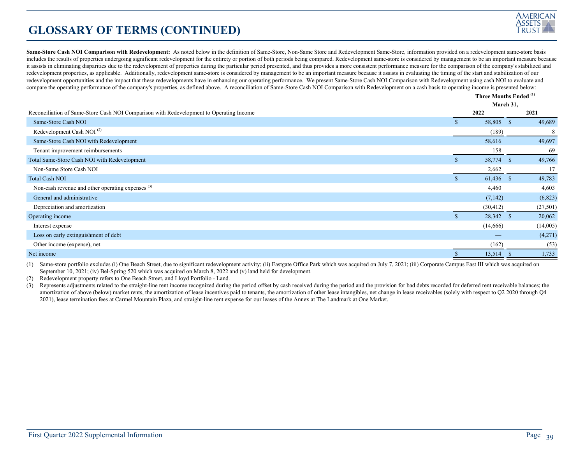

Same-Store Cash NOI Comparison with Redevelopment: As noted below in the definition of Same-Store, Non-Same Store and Redevelopment Same-Store, information provided on a redevelopment same-store basis includes the results of properties undergoing significant redevelopment for the entirety or portion of both periods being compared. Redevelopment same-store is considered by management to be an important measure because it assists in eliminating disparities due to the redevelopment of properties during the particular period presented, and thus provides a more consistent performance measure for the comparison of the company's stabilized and redevelopment properties, as applicable. Additionally, redevelopment same-store is considered by management to be an important measure because it assists in evaluating the timing of the start and stabilization of our redevelopment opportunities and the impact that these redevelopments have in enhancing our operating performance. We present Same-Store Cash NOI Comparison with Redevelopment using cash NOI to evaluate and compare the operating performance of the company's properties, as defined above. A reconciliation of Same-Store Cash NOI Comparison with Redevelopment on a cash basis to operating income is presented below:

|                                                                                         |              | Three Months Ended (1) |      |           |
|-----------------------------------------------------------------------------------------|--------------|------------------------|------|-----------|
|                                                                                         |              | March 31,              |      |           |
| Reconciliation of Same-Store Cash NOI Comparison with Redevelopment to Operating Income | 2022         |                        |      | 2021      |
| Same-Store Cash NOI                                                                     |              | 58,805                 | -S   | 49,689    |
| Redevelopment Cash NOI <sup>(2)</sup>                                                   |              | (189)                  |      | 8         |
| Same-Store Cash NOI with Redevelopment                                                  |              | 58,616                 |      | 49,697    |
| Tenant improvement reimbursements                                                       |              | 158                    |      | -69       |
| Total Same-Store Cash NOI with Redevelopment                                            | $\mathbb{S}$ | 58,774                 | - \$ | 49,766    |
| Non-Same Store Cash NOI                                                                 |              | 2,662                  |      | 17        |
| <b>Total Cash NOI</b>                                                                   | $\mathbb{S}$ | $61,436$ \$            |      | 49,783    |
| Non-cash revenue and other operating expenses $(3)$                                     |              | 4,460                  |      | 4,603     |
| General and administrative                                                              |              | (7,142)                |      | (6,823)   |
| Depreciation and amortization                                                           |              | (30, 412)              |      | (27, 501) |
| Operating income                                                                        | S            | $28,342$ \$            |      | 20,062    |
| Interest expense                                                                        |              | (14,666)               |      | (14,005)  |
| Loss on early extinguishment of debt                                                    |              |                        |      | (4,271)   |
| Other income (expense), net                                                             |              | (162)                  |      | (53)      |
| Net income                                                                              | ъ            | 13,514                 |      | 1,733     |

(1) Same-store portfolio excludes (i) One Beach Street, due to significant redevelopment activity; (ii) Eastgate Office Park which was acquired on July 7, 2021; (iii) Corporate Campus East III which was acquired on September 10, 2021; (iv) Bel-Spring 520 which was acquired on March 8, 2022 and (v) land held for development.

(2) Redevelopment property refers to One Beach Street, and Lloyd Portfolio - Land.

(3) Represents adjustments related to the straight-line rent income recognized during the period offset by cash received during the period and the provision for bad debts recorded for deferred rent receivable balances; the amortization of above (below) market rents, the amortization of lease incentives paid to tenants, the amortization of other lease intangibles, net change in lease receivables (solely with respect to Q2 2020 through Q4 2021), lease termination fees at Carmel Mountain Plaza, and straight-line rent expense for our leases of the Annex at The Landmark at One Market.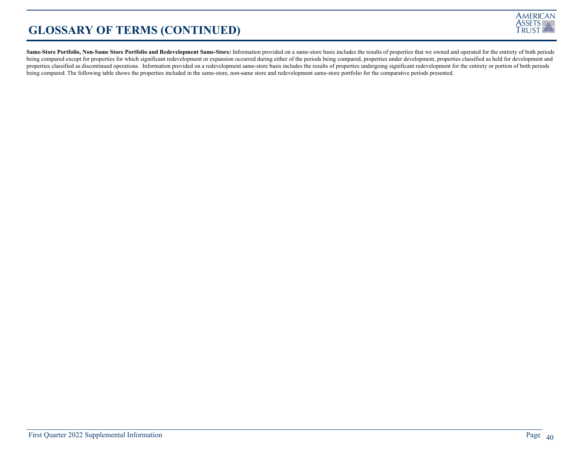

Same-Store Portfolio, Non-Same Store Portfolio and Redevelopment Same-Store: Information provided on a same-store basis includes the results of properties that we owned and operated for the entirety of both periods being compared except for properties for which significant redevelopment or expansion occurred during either of the periods being compared, properties under development, properties classified as held for development and properties classified as discontinued operations. Information provided on a redevelopment same-store basis includes the results of properties undergoing significant redevelopment for the entirety or portion of both periods being compared. The following table shows the properties included in the same-store, non-same store and redevelopment same-store portfolio for the comparative periods presented.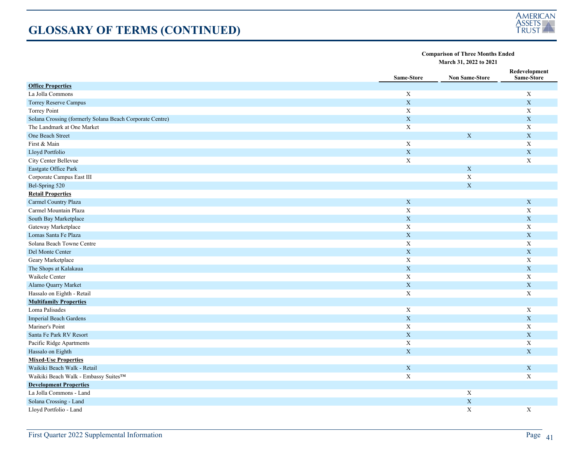

#### **Comparison of Three Months Ended**

**March 31, 2022 to 2021**

|                                                          | Same-Store                | <b>Non Same-Store</b> | Redevelopment<br>Same-Store |
|----------------------------------------------------------|---------------------------|-----------------------|-----------------------------|
| <b>Office Properties</b>                                 |                           |                       |                             |
| La Jolla Commons                                         | $\boldsymbol{\mathrm{X}}$ |                       | $\boldsymbol{\mathrm{X}}$   |
| <b>Torrey Reserve Campus</b>                             | $\mathbf X$               |                       | $\mathbf X$                 |
| Torrey Point                                             | $\mathbf X$               |                       | $\mathbf X$                 |
| Solana Crossing (formerly Solana Beach Corporate Centre) | $\mathbf X$               |                       | $\mathbf X$                 |
| The Landmark at One Market                               | $\overline{X}$            |                       | $\overline{X}$              |
| One Beach Street                                         |                           | X                     | $\mathbf X$                 |
| First & Main                                             | $\mathbf X$               |                       | $\boldsymbol{\mathrm{X}}$   |
| Lloyd Portfolio                                          | $\mathbf X$               |                       | $\mathbf{X}$                |
| City Center Bellevue                                     | $\mathbf X$               |                       | $\boldsymbol{\mathrm{X}}$   |
| Eastgate Office Park                                     |                           | $\mathbf X$           |                             |
| Corporate Campus East III                                |                           | $\mathbf X$           |                             |
| Bel-Spring 520                                           |                           | $\mathbf X$           |                             |
| <b>Retail Properties</b>                                 |                           |                       |                             |
| Carmel Country Plaza                                     | $\mathbf X$               |                       | $\mathbf X$                 |
| Carmel Mountain Plaza                                    | $\mathbf X$               |                       | $\mathbf X$                 |
| South Bay Marketplace                                    | $\mathbf X$               |                       | $\mathbf X$                 |
| Gateway Marketplace                                      | $\mathbf X$               |                       | $\boldsymbol{\mathrm{X}}$   |
| Lomas Santa Fe Plaza                                     | $\mathbf X$               |                       | $\mathbf X$                 |
| Solana Beach Towne Centre                                | $\mathbf X$               |                       | $\mathbf X$                 |
| Del Monte Center                                         | $\mathbf X$               |                       | $\mathbf X$                 |
| Geary Marketplace                                        | $\mathbf X$               |                       | $\mathbf X$                 |
| The Shops at Kalakaua                                    | $\mathbf X$               |                       | X                           |
| Waikele Center                                           | $\mathbf X$               |                       | $\mathbf X$                 |
| Alamo Quarry Market                                      | $\mathbf X$               |                       | $\mathbf X$                 |
| Hassalo on Eighth - Retail                               | $\overline{X}$            |                       | $\mathbf X$                 |
| <b>Multifamily Properties</b>                            |                           |                       |                             |
| Loma Palisades                                           | $\mathbf X$               |                       | $\mathbf X$                 |
| <b>Imperial Beach Gardens</b>                            | $\mathbf X$               |                       | $\mathbf X$                 |
| Mariner's Point                                          | $\mathbf X$               |                       | $\mathbf X$                 |
| Santa Fe Park RV Resort                                  | $\mathbf X$               |                       | $\mathbf X$                 |
| Pacific Ridge Apartments                                 | $\mathbf X$               |                       | $\boldsymbol{\mathrm{X}}$   |
| Hassalo on Eighth                                        | $\mathbf X$               |                       | $\mathbf X$                 |
| <b>Mixed-Use Properties</b>                              |                           |                       |                             |
| Waikiki Beach Walk - Retail                              | $\mathbf{X}$              |                       | $\mathbf{X}$                |
| Waikiki Beach Walk - Embassy Suites™                     | $\boldsymbol{\mathrm{X}}$ |                       | $\boldsymbol{\mathrm{X}}$   |
| <b>Development Properties</b>                            |                           |                       |                             |
| La Jolla Commons - Land                                  |                           | $\mathbf X$           |                             |
| Solana Crossing - Land                                   |                           | $\mathbf X$           |                             |
| Lloyd Portfolio - Land                                   |                           | $\mathbf X$           | $\boldsymbol{\mathrm{X}}$   |